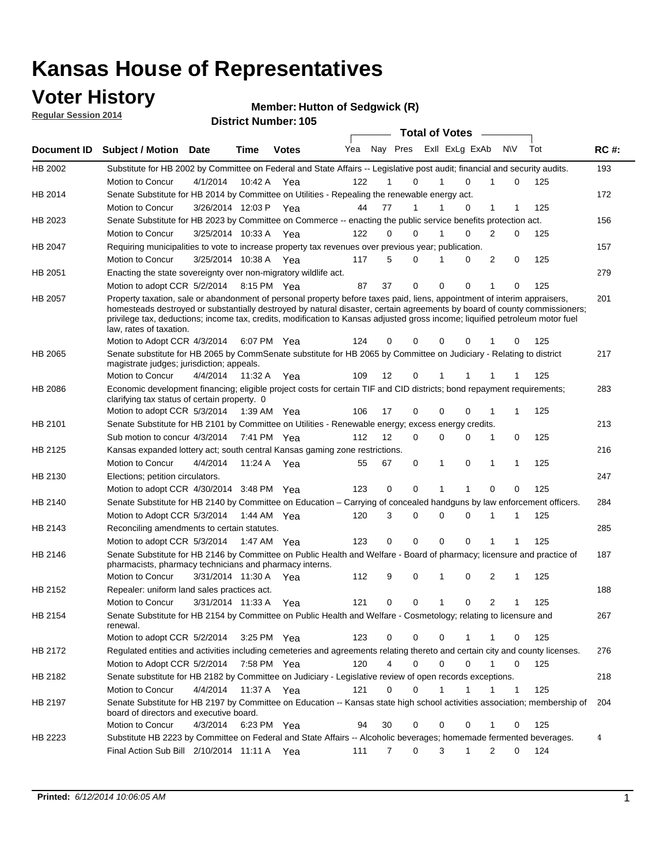### **Voter History**

**Regular Session 2014**

| <u>nuyurur ocaalon zu la</u> |                                                                                                                                                                                                                                                                                                                                                                                                                  |                       |         | <b>District Number: 105</b> |     |          |             |                       |             |                |                   |     |             |  |
|------------------------------|------------------------------------------------------------------------------------------------------------------------------------------------------------------------------------------------------------------------------------------------------------------------------------------------------------------------------------------------------------------------------------------------------------------|-----------------------|---------|-----------------------------|-----|----------|-------------|-----------------------|-------------|----------------|-------------------|-----|-------------|--|
|                              |                                                                                                                                                                                                                                                                                                                                                                                                                  |                       |         |                             |     |          |             | <b>Total of Votes</b> |             |                |                   |     |             |  |
| <b>Document ID</b>           | Subject / Motion Date                                                                                                                                                                                                                                                                                                                                                                                            |                       | Time    | <b>Votes</b>                | Yea |          | Nay Pres    |                       |             | ExII ExLg ExAb | <b>NV</b>         | Tot | <b>RC#:</b> |  |
| HB 2002                      | Substitute for HB 2002 by Committee on Federal and State Affairs -- Legislative post audit; financial and security audits.                                                                                                                                                                                                                                                                                       |                       |         |                             |     |          |             |                       |             |                |                   |     | 193         |  |
|                              | Motion to Concur                                                                                                                                                                                                                                                                                                                                                                                                 | 4/1/2014              | 10:42 A | Yea                         | 122 | 1        |             | 0                     | 1           | 0              | 1<br>0            | 125 |             |  |
| HB 2014                      | Senate Substitute for HB 2014 by Committee on Utilities - Repealing the renewable energy act.                                                                                                                                                                                                                                                                                                                    |                       |         |                             |     |          |             |                       |             |                |                   |     | 172         |  |
|                              | Motion to Concur                                                                                                                                                                                                                                                                                                                                                                                                 | 3/26/2014 12:03 P     |         | Yea                         | 44  | 77       | 1           |                       | 1           | $\Omega$       | $\mathbf{1}$<br>1 | 125 |             |  |
| HB 2023                      | Senate Substitute for HB 2023 by Committee on Commerce -- enacting the public service benefits protection act.                                                                                                                                                                                                                                                                                                   |                       |         |                             |     |          |             |                       |             |                |                   |     | 156         |  |
|                              | Motion to Concur                                                                                                                                                                                                                                                                                                                                                                                                 | 3/25/2014 10:33 A     |         | Yea                         | 122 | $\Omega$ |             | 0                     | 1           | 0              | 2<br>0            | 125 |             |  |
| HB 2047                      | Requiring municipalities to vote to increase property tax revenues over previous year; publication.                                                                                                                                                                                                                                                                                                              |                       |         |                             |     |          |             |                       |             |                |                   |     | 157         |  |
|                              | <b>Motion to Concur</b>                                                                                                                                                                                                                                                                                                                                                                                          | 3/25/2014 10:38 A Yea |         |                             | 117 | 5        |             | 0                     | 1           | 0              | 2<br>$\mathbf 0$  | 125 |             |  |
| HB 2051                      | Enacting the state sovereignty over non-migratory wildlife act.                                                                                                                                                                                                                                                                                                                                                  |                       |         |                             |     |          |             |                       |             |                |                   |     | 279         |  |
|                              | Motion to adopt CCR 5/2/2014 8:15 PM Yea                                                                                                                                                                                                                                                                                                                                                                         |                       |         |                             | 87  | 37       | 0           |                       | $\mathbf 0$ | 0              | 1<br>0            | 125 |             |  |
| <b>HB 2057</b>               | Property taxation, sale or abandonment of personal property before taxes paid, liens, appointment of interim appraisers,<br>homesteads destroyed or substantially destroyed by natural disaster, certain agreements by board of county commissioners;<br>privilege tax, deductions; income tax, credits, modification to Kansas adjusted gross income; liquified petroleum motor fuel<br>law, rates of taxation. |                       |         |                             |     | 0        | 0           |                       | 0           | 0              | 1                 | 125 | 201         |  |
|                              | Motion to Adopt CCR 4/3/2014                                                                                                                                                                                                                                                                                                                                                                                     |                       |         | 6:07 PM Yea                 | 124 |          |             |                       |             |                | 0                 |     |             |  |
| HB 2065                      | Senate substitute for HB 2065 by CommSenate substitute for HB 2065 by Committee on Judiciary - Relating to district<br>magistrate judges; jurisdiction; appeals.                                                                                                                                                                                                                                                 |                       |         |                             |     |          |             |                       |             |                |                   |     | 217         |  |
|                              | Motion to Concur                                                                                                                                                                                                                                                                                                                                                                                                 | 4/4/2014              | 11:32 A | Yea                         | 109 | 12       |             | 0                     |             | 1              | 1<br>1            | 125 |             |  |
| HB 2086                      | Economic development financing; eligible project costs for certain TIF and CID districts; bond repayment requirements;<br>clarifying tax status of certain property. 0                                                                                                                                                                                                                                           |                       |         |                             |     |          |             |                       |             |                |                   |     | 283         |  |
|                              | Motion to adopt CCR 5/3/2014 1:39 AM Yea                                                                                                                                                                                                                                                                                                                                                                         |                       |         |                             | 106 | 17       | 0           |                       | $\Omega$    | $\Omega$       | 1<br>1            | 125 |             |  |
| HB 2101                      | Senate Substitute for HB 2101 by Committee on Utilities - Renewable energy; excess energy credits.                                                                                                                                                                                                                                                                                                               |                       |         |                             |     |          |             |                       |             |                |                   |     | 213         |  |
|                              | Sub motion to concur 4/3/2014 7:41 PM Yea                                                                                                                                                                                                                                                                                                                                                                        |                       |         |                             | 112 | 12       | $\Omega$    |                       | 0           | 0              | 1<br>0            | 125 |             |  |
| HB 2125                      | Kansas expanded lottery act; south central Kansas gaming zone restrictions.                                                                                                                                                                                                                                                                                                                                      |                       |         |                             |     |          |             |                       |             |                |                   |     | 216         |  |
|                              | Motion to Concur                                                                                                                                                                                                                                                                                                                                                                                                 | 4/4/2014              |         | 11:24 A Yea                 | 55  | 67       | 0           |                       | 1           | 0              | 1<br>1            | 125 |             |  |
| HB 2130                      | Elections; petition circulators.                                                                                                                                                                                                                                                                                                                                                                                 |                       |         |                             |     |          |             |                       |             |                |                   |     | 247         |  |
|                              | Motion to adopt CCR 4/30/2014 3:48 PM Yea                                                                                                                                                                                                                                                                                                                                                                        |                       |         |                             | 123 | 0        | $\mathbf 0$ |                       | 1           | 1              | 0<br>$\Omega$     | 125 |             |  |
| HB 2140                      | Senate Substitute for HB 2140 by Committee on Education – Carrying of concealed handguns by law enforcement officers.                                                                                                                                                                                                                                                                                            |                       |         |                             |     |          |             |                       |             |                |                   |     | 284         |  |
|                              | Motion to Adopt CCR 5/3/2014 1:44 AM Yea                                                                                                                                                                                                                                                                                                                                                                         |                       |         |                             | 120 | 3        | 0           |                       | 0           | 0<br>1         | 1                 | 125 |             |  |
| HB 2143                      | Reconciling amendments to certain statutes.                                                                                                                                                                                                                                                                                                                                                                      |                       |         |                             |     |          |             |                       |             |                |                   |     | 285         |  |
|                              | Motion to adopt CCR 5/3/2014                                                                                                                                                                                                                                                                                                                                                                                     |                       |         | 1:47 AM Yea                 | 123 | 0        | $\mathbf 0$ |                       | $\Omega$    | $\Omega$       | 1<br>1            | 125 |             |  |
| HB 2146                      | Senate Substitute for HB 2146 by Committee on Public Health and Welfare - Board of pharmacy; licensure and practice of<br>pharmacists, pharmacy technicians and pharmacy interns.                                                                                                                                                                                                                                |                       |         |                             |     |          |             |                       |             |                |                   |     | 187         |  |
|                              | Motion to Concur                                                                                                                                                                                                                                                                                                                                                                                                 | 3/31/2014 11:30 A     |         | Yea                         | 112 | 9        | 0           |                       | 1           | 0              | 2<br>1            | 125 |             |  |
| HB 2152                      | Repealer: uniform land sales practices act.                                                                                                                                                                                                                                                                                                                                                                      |                       |         |                             |     |          |             |                       |             |                |                   |     | 188         |  |
|                              | Motion to Concur                                                                                                                                                                                                                                                                                                                                                                                                 | 3/31/2014 11:33 A     |         | Yea                         | 121 | 0        | 0           |                       | 1           | 0              | 2<br>1            | 125 |             |  |
| HB 2154                      | Senate Substitute for HB 2154 by Committee on Public Health and Welfare - Cosmetology; relating to licensure and<br>renewal.                                                                                                                                                                                                                                                                                     |                       |         |                             |     |          |             |                       |             |                |                   |     | 267         |  |
|                              | Motion to adopt CCR 5/2/2014                                                                                                                                                                                                                                                                                                                                                                                     |                       |         | 3:25 PM Yea                 | 123 | 0        | 0           |                       | 0           | 1              | 1<br>0            | 125 |             |  |
| HB 2172                      | Regulated entities and activities including cemeteries and agreements relating thereto and certain city and county licenses.                                                                                                                                                                                                                                                                                     |                       |         |                             |     |          |             |                       |             |                |                   |     | 276         |  |
|                              | Motion to Adopt CCR 5/2/2014                                                                                                                                                                                                                                                                                                                                                                                     |                       |         | 7:58 PM Yea                 | 120 | 4        |             | 0                     | $\mathbf 0$ | 0              | 1<br>0            | 125 |             |  |
| HB 2182                      | Senate substitute for HB 2182 by Committee on Judiciary - Legislative review of open records exceptions.                                                                                                                                                                                                                                                                                                         |                       |         |                             |     |          |             |                       |             |                |                   |     | 218         |  |
|                              | <b>Motion to Concur</b>                                                                                                                                                                                                                                                                                                                                                                                          | 4/4/2014              |         | 11:37 A Yea                 | 121 | 0        |             | 0                     | 1           | 1              | 1<br>1            | 125 |             |  |
| HB 2197                      | Senate Substitute for HB 2197 by Committee on Education -- Kansas state high school activities association; membership of<br>board of directors and executive board.                                                                                                                                                                                                                                             |                       |         |                             |     |          |             |                       |             |                |                   |     | 204         |  |
|                              | Motion to Concur                                                                                                                                                                                                                                                                                                                                                                                                 | 4/3/2014              |         | 6:23 PM Yea                 | 94  | 30       | 0           |                       | 0           | 0              | 1<br>0            | 125 |             |  |
| HB 2223                      | Substitute HB 2223 by Committee on Federal and State Affairs -- Alcoholic beverages; homemade fermented beverages.                                                                                                                                                                                                                                                                                               |                       |         |                             |     |          |             |                       |             |                |                   |     | 4           |  |
|                              | Final Action Sub Bill 2/10/2014 11:11 A Yea                                                                                                                                                                                                                                                                                                                                                                      |                       |         |                             | 111 | 7        | 0           |                       | 3           | 1              | 2<br>0            | 124 |             |  |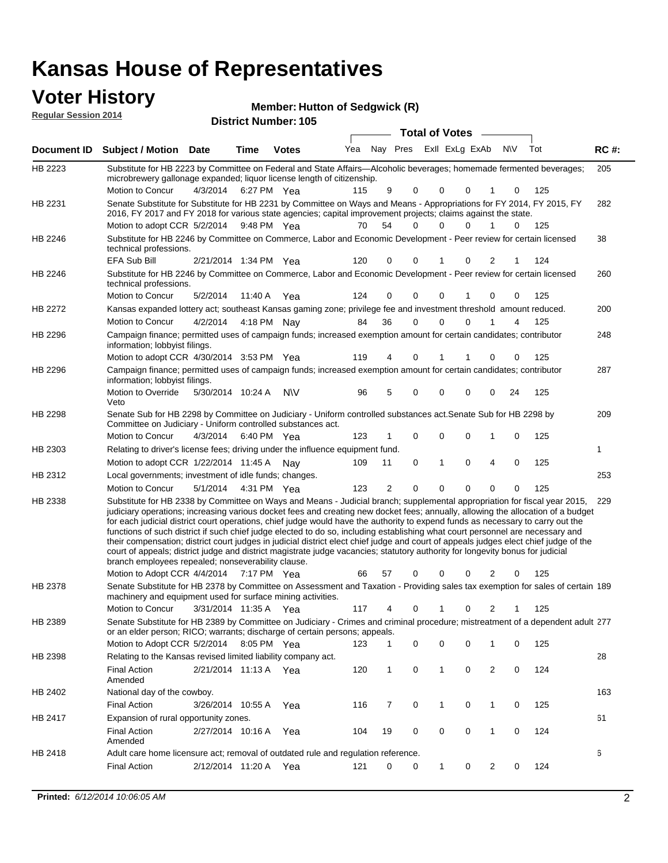### **Voter History**

**Regular Session 2014**

| noguiai ocoolori zu in |                                                                                                                                                                                                                                                                                                                                                                                                                                                                                                                                                                                                                                                                                                                                                                                                                                                                                                                 |                       |      | <b>District Number: 105</b> |     |                |                       |              |                         |                      |     |             |
|------------------------|-----------------------------------------------------------------------------------------------------------------------------------------------------------------------------------------------------------------------------------------------------------------------------------------------------------------------------------------------------------------------------------------------------------------------------------------------------------------------------------------------------------------------------------------------------------------------------------------------------------------------------------------------------------------------------------------------------------------------------------------------------------------------------------------------------------------------------------------------------------------------------------------------------------------|-----------------------|------|-----------------------------|-----|----------------|-----------------------|--------------|-------------------------|----------------------|-----|-------------|
|                        |                                                                                                                                                                                                                                                                                                                                                                                                                                                                                                                                                                                                                                                                                                                                                                                                                                                                                                                 |                       |      |                             |     |                | <b>Total of Votes</b> |              |                         |                      |     |             |
| <b>Document ID</b>     | Subject / Motion Date                                                                                                                                                                                                                                                                                                                                                                                                                                                                                                                                                                                                                                                                                                                                                                                                                                                                                           |                       | Time | <b>Votes</b>                | Yea |                |                       |              | Nay Pres ExII ExLg ExAb | <b>NIV</b>           | Tot | <b>RC#:</b> |
| HB 2223                | Substitute for HB 2223 by Committee on Federal and State Affairs—Alcoholic beverages; homemade fermented beverages;<br>microbrewery gallonage expanded; liquor license length of citizenship.                                                                                                                                                                                                                                                                                                                                                                                                                                                                                                                                                                                                                                                                                                                   |                       |      |                             |     |                |                       |              |                         |                      |     | 205         |
| HB 2231                | Motion to Concur<br>Senate Substitute for Substitute for HB 2231 by Committee on Ways and Means - Appropriations for FY 2014, FY 2015, FY                                                                                                                                                                                                                                                                                                                                                                                                                                                                                                                                                                                                                                                                                                                                                                       | 4/3/2014              |      | 6:27 PM Yea                 | 115 | 9              | 0                     | 0            | 0                       | 0                    | 125 | 282         |
|                        | 2016, FY 2017 and FY 2018 for various state agencies; capital improvement projects; claims against the state.<br>Motion to adopt CCR 5/2/2014                                                                                                                                                                                                                                                                                                                                                                                                                                                                                                                                                                                                                                                                                                                                                                   |                       |      | 9:48 PM Yea                 | 70  | 54             | $\Omega$              | 0            | $\Omega$                | 1<br>0               | 125 |             |
| HB 2246                | Substitute for HB 2246 by Committee on Commerce, Labor and Economic Development - Peer review for certain licensed<br>technical professions.                                                                                                                                                                                                                                                                                                                                                                                                                                                                                                                                                                                                                                                                                                                                                                    |                       |      |                             |     |                |                       |              |                         |                      |     | 38          |
|                        | EFA Sub Bill                                                                                                                                                                                                                                                                                                                                                                                                                                                                                                                                                                                                                                                                                                                                                                                                                                                                                                    | 2/21/2014 1:34 PM Yea |      |                             | 120 | 0              | $\Omega$              |              | 0                       | 2                    | 124 |             |
| HB 2246                | Substitute for HB 2246 by Committee on Commerce, Labor and Economic Development - Peer review for certain licensed<br>technical professions.                                                                                                                                                                                                                                                                                                                                                                                                                                                                                                                                                                                                                                                                                                                                                                    |                       |      |                             |     |                |                       |              |                         |                      |     | 260         |
|                        | Motion to Concur                                                                                                                                                                                                                                                                                                                                                                                                                                                                                                                                                                                                                                                                                                                                                                                                                                                                                                | 5/2/2014              |      | 11:40 A Yea                 | 124 | 0              | 0                     | 0            |                         | 0<br>0               | 125 |             |
| HB 2272                | Kansas expanded lottery act; southeast Kansas gaming zone; privilege fee and investment threshold amount reduced.                                                                                                                                                                                                                                                                                                                                                                                                                                                                                                                                                                                                                                                                                                                                                                                               |                       |      |                             |     |                |                       |              |                         |                      |     | 200         |
|                        | Motion to Concur                                                                                                                                                                                                                                                                                                                                                                                                                                                                                                                                                                                                                                                                                                                                                                                                                                                                                                | 4/2/2014              |      | 4:18 PM Nay                 | 84  | 36             | $\mathbf 0$           | 0            | $\Omega$                | 4                    | 125 |             |
| HB 2296                | Campaign finance; permitted uses of campaign funds; increased exemption amount for certain candidates; contributor<br>information; lobbyist filings.                                                                                                                                                                                                                                                                                                                                                                                                                                                                                                                                                                                                                                                                                                                                                            |                       |      |                             |     |                |                       |              |                         |                      |     | 248         |
|                        | Motion to adopt CCR 4/30/2014 3:53 PM Yea                                                                                                                                                                                                                                                                                                                                                                                                                                                                                                                                                                                                                                                                                                                                                                                                                                                                       |                       |      |                             | 119 | 4              | $\mathbf 0$           | 1            |                         | 0<br>0               | 125 |             |
| HB 2296                | Campaign finance; permitted uses of campaign funds; increased exemption amount for certain candidates; contributor<br>information; lobbyist filings.                                                                                                                                                                                                                                                                                                                                                                                                                                                                                                                                                                                                                                                                                                                                                            |                       |      |                             |     |                |                       |              |                         |                      |     | 287         |
|                        | Motion to Override<br>Veto                                                                                                                                                                                                                                                                                                                                                                                                                                                                                                                                                                                                                                                                                                                                                                                                                                                                                      | 5/30/2014 10:24 A     |      | <b>NV</b>                   | 96  | 5              | 0                     | $\mathbf 0$  | $\Omega$                | 24<br>0              | 125 |             |
| HB 2298                | Senate Sub for HB 2298 by Committee on Judiciary - Uniform controlled substances act. Senate Sub for HB 2298 by<br>Committee on Judiciary - Uniform controlled substances act.                                                                                                                                                                                                                                                                                                                                                                                                                                                                                                                                                                                                                                                                                                                                  |                       |      |                             |     |                |                       |              |                         |                      |     | 209         |
|                        | Motion to Concur                                                                                                                                                                                                                                                                                                                                                                                                                                                                                                                                                                                                                                                                                                                                                                                                                                                                                                | 4/3/2014              |      | 6:40 PM Yea                 | 123 |                | $\mathbf 0$           | $\mathbf 0$  | $\Omega$                | $\mathbf 0$          | 125 |             |
| HB 2303                | Relating to driver's license fees; driving under the influence equipment fund.                                                                                                                                                                                                                                                                                                                                                                                                                                                                                                                                                                                                                                                                                                                                                                                                                                  |                       |      |                             |     |                |                       | 1            |                         | 4                    |     | 1           |
|                        | Motion to adopt CCR 1/22/2014 11:45 A Nay                                                                                                                                                                                                                                                                                                                                                                                                                                                                                                                                                                                                                                                                                                                                                                                                                                                                       |                       |      |                             | 109 | 11             | 0                     |              | 0                       | 0                    | 125 |             |
| HB 2312                | Local governments; investment of idle funds; changes.                                                                                                                                                                                                                                                                                                                                                                                                                                                                                                                                                                                                                                                                                                                                                                                                                                                           |                       |      |                             | 123 | $\overline{2}$ | $\Omega$              | $\Omega$     | $\Omega$                | $\Omega$<br>$\Omega$ | 125 | 253         |
|                        | Motion to Concur                                                                                                                                                                                                                                                                                                                                                                                                                                                                                                                                                                                                                                                                                                                                                                                                                                                                                                | 5/1/2014              |      | 4:31 PM Yea                 |     |                |                       |              |                         |                      |     | 229         |
| HB 2338                | Substitute for HB 2338 by Committee on Ways and Means - Judicial branch; supplemental appropriation for fiscal year 2015,<br>judiciary operations; increasing various docket fees and creating new docket fees; annually, allowing the allocation of a budget<br>for each judicial district court operations, chief judge would have the authority to expend funds as necessary to carry out the<br>functions of such district if such chief judge elected to do so, including establishing what court personnel are necessary and<br>their compensation; district court judges in judicial district elect chief judge and court of appeals judges elect chief judge of the<br>court of appeals; district judge and district magistrate judge vacancies; statutory authority for longevity bonus for judicial<br>branch employees repealed; nonseverability clause.<br>Motion to Adopt CCR 4/4/2014 7:17 PM Yea |                       |      |                             | 66  | 57             | 0                     | 0            | 0                       | 0<br>2               | 125 |             |
| HB 2378                | Senate Substitute for HB 2378 by Committee on Assessment and Taxation - Providing sales tax exemption for sales of certain 189<br>machinery and equipment used for surface mining activities.                                                                                                                                                                                                                                                                                                                                                                                                                                                                                                                                                                                                                                                                                                                   |                       |      |                             |     |                |                       |              |                         |                      |     |             |
|                        | Motion to Concur                                                                                                                                                                                                                                                                                                                                                                                                                                                                                                                                                                                                                                                                                                                                                                                                                                                                                                | 3/31/2014 11:35 A     |      | Yea                         | 117 | 4              | 0                     | 1            | 0                       | 2                    | 125 |             |
| HB 2389                | Senate Substitute for HB 2389 by Committee on Judiciary - Crimes and criminal procedure; mistreatment of a dependent adult 277<br>or an elder person; RICO; warrants; discharge of certain persons; appeals.                                                                                                                                                                                                                                                                                                                                                                                                                                                                                                                                                                                                                                                                                                    |                       |      |                             |     |                |                       |              |                         |                      |     |             |
|                        | Motion to Adopt CCR 5/2/2014 8:05 PM Yea                                                                                                                                                                                                                                                                                                                                                                                                                                                                                                                                                                                                                                                                                                                                                                                                                                                                        |                       |      |                             | 123 |                | 0                     | 0            | 0                       | 0<br>1               | 125 |             |
| HB 2398                | Relating to the Kansas revised limited liability company act.                                                                                                                                                                                                                                                                                                                                                                                                                                                                                                                                                                                                                                                                                                                                                                                                                                                   |                       |      |                             |     |                |                       |              |                         |                      |     | 28          |
|                        | <b>Final Action</b><br>Amended                                                                                                                                                                                                                                                                                                                                                                                                                                                                                                                                                                                                                                                                                                                                                                                                                                                                                  | 2/21/2014 11:13 A Yea |      |                             | 120 | 1              | 0                     | 1            | 0                       | $\overline{2}$<br>0  | 124 |             |
| HB 2402                | National day of the cowboy.                                                                                                                                                                                                                                                                                                                                                                                                                                                                                                                                                                                                                                                                                                                                                                                                                                                                                     |                       |      |                             |     |                |                       |              |                         |                      |     | 163         |
|                        | <b>Final Action</b>                                                                                                                                                                                                                                                                                                                                                                                                                                                                                                                                                                                                                                                                                                                                                                                                                                                                                             | 3/26/2014 10:55 A     |      | Yea                         | 116 | 7              | 0                     | 1            | 0                       | $\mathbf 1$<br>0     | 125 |             |
| HB 2417                | Expansion of rural opportunity zones.                                                                                                                                                                                                                                                                                                                                                                                                                                                                                                                                                                                                                                                                                                                                                                                                                                                                           |                       |      |                             |     |                |                       |              |                         |                      |     | 61          |
|                        | <b>Final Action</b><br>Amended                                                                                                                                                                                                                                                                                                                                                                                                                                                                                                                                                                                                                                                                                                                                                                                                                                                                                  | 2/27/2014 10:16 A     |      | Yea                         | 104 | 19             | 0                     | 0            | 0                       | 0<br>1               | 124 |             |
| HB 2418                | Adult care home licensure act; removal of outdated rule and regulation reference.                                                                                                                                                                                                                                                                                                                                                                                                                                                                                                                                                                                                                                                                                                                                                                                                                               |                       |      |                             |     |                |                       |              |                         |                      |     | 6           |
|                        | <b>Final Action</b>                                                                                                                                                                                                                                                                                                                                                                                                                                                                                                                                                                                                                                                                                                                                                                                                                                                                                             | 2/12/2014 11:20 A     |      | Yea                         | 121 | 0              | 0                     | $\mathbf{1}$ | 0                       | 2<br>0               | 124 |             |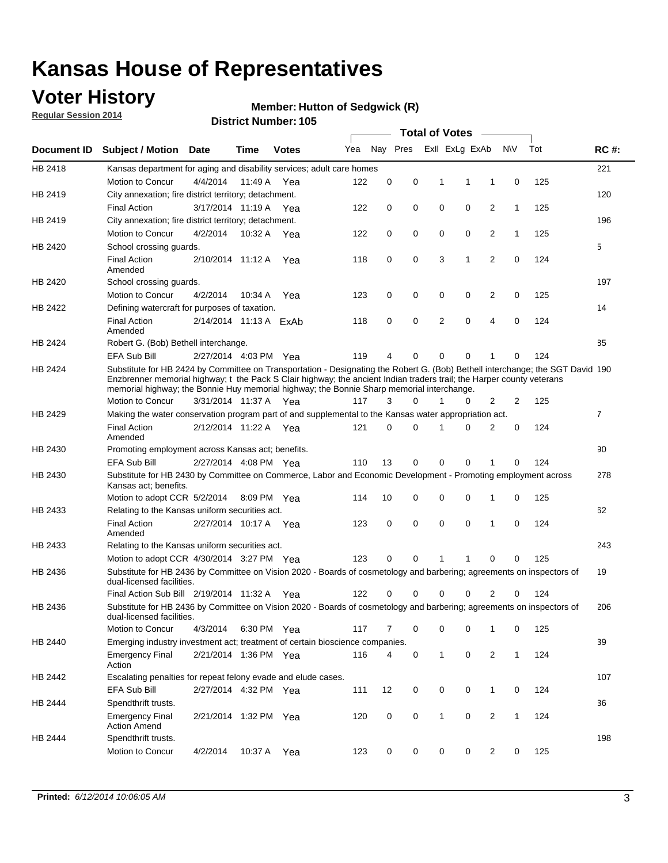### **Voter History**

**Regular Session 2014**

#### **Member: Hutton of Sedgwick (R)**

|                    |                                                                                                                                                                                                                                                                                                                                                      |                        |             | <b>DISTRICT MAILINGL. 105</b> |     |          |          |   | <b>Total of Votes</b> | $\sim$         |              |     |                |             |
|--------------------|------------------------------------------------------------------------------------------------------------------------------------------------------------------------------------------------------------------------------------------------------------------------------------------------------------------------------------------------------|------------------------|-------------|-------------------------------|-----|----------|----------|---|-----------------------|----------------|--------------|-----|----------------|-------------|
| <b>Document ID</b> | <b>Subject / Motion</b>                                                                                                                                                                                                                                                                                                                              | Date                   | Time        | <b>Votes</b>                  | Yea |          | Nay Pres |   | Exll ExLg ExAb        |                | <b>NV</b>    | Tot |                | <b>RC#:</b> |
| HB 2418            | Kansas department for aging and disability services; adult care homes                                                                                                                                                                                                                                                                                |                        |             |                               |     |          |          |   |                       |                |              |     |                | 221         |
|                    | Motion to Concur                                                                                                                                                                                                                                                                                                                                     | 4/4/2014               | 11:49 A     | Yea                           | 122 | 0        | 0        |   | 1<br>1                | 1              | 0            | 125 |                |             |
| HB 2419            | City annexation; fire district territory; detachment.                                                                                                                                                                                                                                                                                                |                        |             |                               |     |          |          |   |                       |                |              |     |                | 120         |
|                    | <b>Final Action</b>                                                                                                                                                                                                                                                                                                                                  | 3/17/2014 11:19 A Yea  |             |                               | 122 | 0        | 0        |   | 0<br>0                | 2              | $\mathbf{1}$ | 125 |                |             |
| HB 2419            | City annexation; fire district territory; detachment.                                                                                                                                                                                                                                                                                                |                        |             |                               |     |          |          |   |                       |                |              |     |                | 196         |
|                    | Motion to Concur                                                                                                                                                                                                                                                                                                                                     | 4/2/2014               | 10:32 A Yea |                               | 122 | 0        | 0        |   | 0<br>0                | 2              | $\mathbf{1}$ | 125 |                |             |
| HB 2420            | School crossing guards.                                                                                                                                                                                                                                                                                                                              |                        |             |                               |     |          |          |   |                       |                |              |     | 5              |             |
|                    | <b>Final Action</b><br>Amended                                                                                                                                                                                                                                                                                                                       | 2/10/2014 11:12 A      |             | Yea                           | 118 | 0        | 0        |   | 3<br>1                | $\overline{2}$ | 0            | 124 |                |             |
| HB 2420            | School crossing guards.                                                                                                                                                                                                                                                                                                                              |                        |             |                               |     |          |          |   |                       |                |              |     |                | 197         |
|                    | Motion to Concur                                                                                                                                                                                                                                                                                                                                     | 4/2/2014               | 10:34 A     | Yea                           | 123 | 0        | 0        |   | 0<br>0                | 2              | 0            | 125 |                |             |
| HB 2422            | Defining watercraft for purposes of taxation.                                                                                                                                                                                                                                                                                                        |                        |             |                               |     |          |          |   |                       |                |              |     |                | 14          |
|                    | <b>Final Action</b><br>Amended                                                                                                                                                                                                                                                                                                                       | 2/14/2014 11:13 A ExAb |             |                               | 118 | 0        | 0        |   | 2<br>$\mathbf 0$      | 4              | 0            | 124 |                |             |
| HB 2424            | Robert G. (Bob) Bethell interchange.                                                                                                                                                                                                                                                                                                                 |                        |             |                               |     |          |          |   |                       |                |              |     |                | 85          |
|                    | <b>EFA Sub Bill</b>                                                                                                                                                                                                                                                                                                                                  | 2/27/2014 4:03 PM Yea  |             |                               | 119 | 4        | 0        |   | 0<br>$\mathbf 0$      | 1              | 0            | 124 |                |             |
| HB 2424            | Substitute for HB 2424 by Committee on Transportation - Designating the Robert G. (Bob) Bethell interchange; the SGT David 190<br>Enzbrenner memorial highway; t the Pack S Clair highway; the ancient Indian traders trail; the Harper county veterans<br>memorial highway; the Bonnie Huy memorial highway; the Bonnie Sharp memorial interchange. |                        |             |                               |     |          |          |   |                       |                |              |     |                |             |
|                    | Motion to Concur                                                                                                                                                                                                                                                                                                                                     | 3/31/2014 11:37 A Yea  |             |                               | 117 | 3        | $\Omega$ | 1 | 0                     | 2              | 2            | 125 |                |             |
| HB 2429            | Making the water conservation program part of and supplemental to the Kansas water appropriation act.                                                                                                                                                                                                                                                |                        |             |                               |     |          |          |   |                       |                |              |     | $\overline{7}$ |             |
|                    | <b>Final Action</b><br>Amended                                                                                                                                                                                                                                                                                                                       | 2/12/2014 11:22 A Yea  |             |                               | 121 | $\Omega$ | 0        | 1 | $\Omega$              | 2              | 0            | 124 |                |             |
| HB 2430            | Promoting employment across Kansas act; benefits.                                                                                                                                                                                                                                                                                                    |                        |             |                               |     |          |          |   |                       |                |              |     |                | 90          |
|                    | <b>EFA Sub Bill</b>                                                                                                                                                                                                                                                                                                                                  | 2/27/2014 4:08 PM Yea  |             |                               | 110 | 13       | 0        |   | 0<br>0                | 1              | 0            | 124 |                |             |
| HB 2430            | Substitute for HB 2430 by Committee on Commerce, Labor and Economic Development - Promoting employment across                                                                                                                                                                                                                                        |                        |             |                               |     |          |          |   |                       |                |              |     |                | 278         |
|                    | Kansas act; benefits.<br>Motion to adopt CCR 5/2/2014                                                                                                                                                                                                                                                                                                |                        | 8:09 PM Yea |                               | 114 | 10       | 0        |   | 0<br>0                | 1              | 0            | 125 |                |             |
| HB 2433            | Relating to the Kansas uniform securities act.                                                                                                                                                                                                                                                                                                       |                        |             |                               |     |          |          |   |                       |                |              |     |                | 62          |
|                    | <b>Final Action</b><br>Amended                                                                                                                                                                                                                                                                                                                       | 2/27/2014 10:17 A Yea  |             |                               | 123 | 0        | 0        |   | 0<br>$\mathbf 0$      | 1              | 0            | 124 |                |             |
| HB 2433            | Relating to the Kansas uniform securities act.                                                                                                                                                                                                                                                                                                       |                        |             |                               |     |          |          |   |                       |                |              |     |                | 243         |
|                    | Motion to adopt CCR 4/30/2014 3:27 PM Yea                                                                                                                                                                                                                                                                                                            |                        |             |                               | 123 | $\Omega$ | 0        | 1 | 1                     | 0              | 0            | 125 |                |             |
| HB 2436            | Substitute for HB 2436 by Committee on Vision 2020 - Boards of cosmetology and barbering; agreements on inspectors of<br>dual-licensed facilities.                                                                                                                                                                                                   |                        |             |                               |     |          |          |   |                       |                |              |     |                | 19          |
|                    | Final Action Sub Bill 2/19/2014 11:32 A                                                                                                                                                                                                                                                                                                              |                        |             | Yea                           | 122 | O        | 0        | 0 | 0                     | 2              | 0            | 124 |                |             |
| HB 2436            | Substitute for HB 2436 by Committee on Vision 2020 - Boards of cosmetology and barbering; agreements on inspectors of<br>dual-licensed facilities.                                                                                                                                                                                                   |                        |             |                               |     |          |          |   |                       |                |              |     |                | 206         |
|                    | Motion to Concur                                                                                                                                                                                                                                                                                                                                     | 4/3/2014               | 6:30 PM Yea |                               | 117 | 7        | 0        |   | 0<br>0                | 1              | 0            | 125 |                |             |
| HB 2440            | Emerging industry investment act; treatment of certain bioscience companies.                                                                                                                                                                                                                                                                         |                        |             |                               |     |          |          |   |                       |                |              |     |                | 39          |
|                    | <b>Emergency Final</b><br>Action                                                                                                                                                                                                                                                                                                                     | 2/21/2014 1:36 PM Yea  |             |                               | 116 | 4        | 0        |   | $\mathbf 0$<br>1      | 2              | $\mathbf{1}$ | 124 |                |             |
| HB 2442            | Escalating penalties for repeat felony evade and elude cases.                                                                                                                                                                                                                                                                                        |                        |             |                               |     |          |          |   |                       |                |              |     |                | 107         |
|                    | EFA Sub Bill                                                                                                                                                                                                                                                                                                                                         | 2/27/2014 4:32 PM Yea  |             |                               | 111 | 12       | 0        |   | 0<br>0                | $\mathbf{1}$   | 0            | 124 |                |             |
| HB 2444            | Spendthrift trusts.                                                                                                                                                                                                                                                                                                                                  |                        |             |                               |     |          |          |   |                       |                |              |     |                | 36          |
|                    | <b>Emergency Final</b><br><b>Action Amend</b>                                                                                                                                                                                                                                                                                                        | 2/21/2014 1:32 PM Yea  |             |                               | 120 | 0        | 0        |   | 1<br>0                | $\overline{2}$ | $\mathbf{1}$ | 124 |                |             |
| HB 2444            | Spendthrift trusts.                                                                                                                                                                                                                                                                                                                                  |                        |             |                               |     |          |          |   |                       |                |              |     |                | 198         |
|                    | Motion to Concur                                                                                                                                                                                                                                                                                                                                     | 4/2/2014               | 10:37 A Yea |                               | 123 | 0        | 0        |   | 0<br>0                | $\overline{2}$ | 0            | 125 |                |             |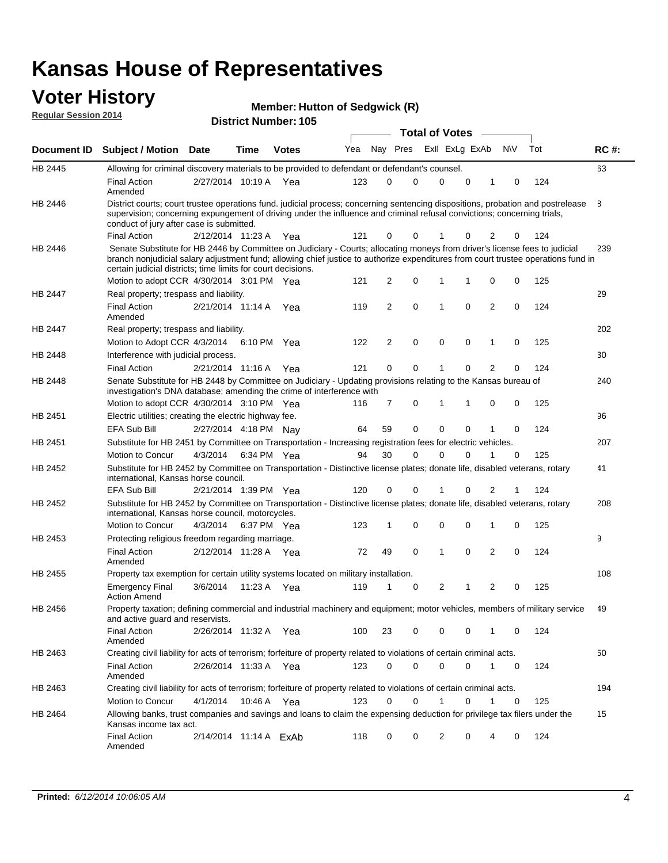#### **Voter History Regular Session 2014**

| <b>Member: Hutton of Sedgwick (R)</b> |  |  |
|---------------------------------------|--|--|
|---------------------------------------|--|--|

|                    |                                                                                                                                                                                                                                                                                                                                 |                        |      |              |     |                |             | <b>Total of Votes</b> |             |                |           |     |             |
|--------------------|---------------------------------------------------------------------------------------------------------------------------------------------------------------------------------------------------------------------------------------------------------------------------------------------------------------------------------|------------------------|------|--------------|-----|----------------|-------------|-----------------------|-------------|----------------|-----------|-----|-------------|
| <b>Document ID</b> | <b>Subject / Motion Date</b>                                                                                                                                                                                                                                                                                                    |                        | Time | <b>Votes</b> | Yea |                | Nay Pres    | Exll ExLg ExAb        |             |                | <b>NV</b> | Tot | <b>RC#:</b> |
| HB 2445            | Allowing for criminal discovery materials to be provided to defendant or defendant's counsel.                                                                                                                                                                                                                                   |                        |      |              |     |                |             |                       |             |                |           |     | 63          |
|                    | <b>Final Action</b><br>Amended                                                                                                                                                                                                                                                                                                  | 2/27/2014 10:19 A Yea  |      |              | 123 | 0              | 0           | $\mathbf 0$           | 0           | 1              | 0         | 124 |             |
| HB 2446            | District courts; court trustee operations fund. judicial process; concerning sentencing dispositions, probation and postrelease<br>supervision; concerning expungement of driving under the influence and criminal refusal convictions; concerning trials,<br>conduct of jury after case is submitted.                          |                        |      |              |     |                |             |                       |             |                |           |     | 8           |
|                    | <b>Final Action</b>                                                                                                                                                                                                                                                                                                             | 2/12/2014 11:23 A Yea  |      |              | 121 | 0              | 0           |                       | 0           | 2              | 0         | 124 |             |
| HB 2446            | Senate Substitute for HB 2446 by Committee on Judiciary - Courts; allocating moneys from driver's license fees to judicial<br>branch nonjudicial salary adjustment fund; allowing chief justice to authorize expenditures from court trustee operations fund in<br>certain judicial districts; time limits for court decisions. |                        |      |              |     |                |             |                       |             |                |           |     | 239         |
|                    | Motion to adopt CCR 4/30/2014 3:01 PM Yea                                                                                                                                                                                                                                                                                       |                        |      |              | 121 | 2              | 0           | $\mathbf{1}$          | 1           | 0              | 0         | 125 |             |
| HB 2447            | Real property; trespass and liability.                                                                                                                                                                                                                                                                                          |                        |      |              |     |                |             |                       |             |                |           |     | 29          |
|                    | <b>Final Action</b><br>Amended                                                                                                                                                                                                                                                                                                  | 2/21/2014 11:14 A Yea  |      |              | 119 | 2              | 0           | 1                     | $\mathbf 0$ | $\overline{2}$ | 0         | 124 |             |
| HB 2447            | Real property; trespass and liability.                                                                                                                                                                                                                                                                                          |                        |      |              |     |                |             |                       |             |                |           |     | 202         |
|                    | Motion to Adopt CCR 4/3/2014                                                                                                                                                                                                                                                                                                    |                        |      | 6:10 PM Yea  | 122 | $\overline{2}$ | 0           | $\mathbf 0$           | 0           | 1              | 0         | 125 |             |
| HB 2448            | Interference with judicial process.                                                                                                                                                                                                                                                                                             |                        |      |              |     |                |             |                       |             |                |           |     | 30          |
|                    | <b>Final Action</b>                                                                                                                                                                                                                                                                                                             | 2/21/2014 11:16 A Yea  |      |              | 121 | 0              | $\mathbf 0$ | 1                     | 0           | 2              | 0         | 124 |             |
| HB 2448            | Senate Substitute for HB 2448 by Committee on Judiciary - Updating provisions relating to the Kansas bureau of<br>investigation's DNA database; amending the crime of interference with                                                                                                                                         |                        |      |              |     |                |             |                       |             |                |           |     | 240         |
|                    | Motion to adopt CCR 4/30/2014 3:10 PM Yea                                                                                                                                                                                                                                                                                       |                        |      |              | 116 | 7              | 0           | 1                     | 1           | 0              | 0         | 125 |             |
| HB 2451            | Electric utilities; creating the electric highway fee.                                                                                                                                                                                                                                                                          |                        |      |              |     |                |             |                       |             |                |           |     | 96          |
|                    | EFA Sub Bill                                                                                                                                                                                                                                                                                                                    | 2/27/2014 4:18 PM Nay  |      |              | 64  | 59             | 0           | $\mathbf 0$           | $\mathbf 0$ | 1              | 0         | 124 |             |
| HB 2451            | Substitute for HB 2451 by Committee on Transportation - Increasing registration fees for electric vehicles.                                                                                                                                                                                                                     |                        |      |              |     |                |             |                       |             |                |           |     | 207         |
|                    | Motion to Concur                                                                                                                                                                                                                                                                                                                | 4/3/2014               |      | 6:34 PM Yea  | 94  | 30             | 0           | $\Omega$              | 0           | 1              | 0         | 125 |             |
| HB 2452            | Substitute for HB 2452 by Committee on Transportation - Distinctive license plates; donate life, disabled veterans, rotary<br>international, Kansas horse council.                                                                                                                                                              |                        |      |              |     |                |             |                       |             |                |           |     | 41          |
|                    | <b>EFA Sub Bill</b>                                                                                                                                                                                                                                                                                                             | 2/21/2014 1:39 PM Yea  |      |              | 120 | 0              | 0           |                       | 0           | 2              | 1         | 124 |             |
| HB 2452            | Substitute for HB 2452 by Committee on Transportation - Distinctive license plates; donate life, disabled veterans, rotary<br>international, Kansas horse council, motorcycles.                                                                                                                                                 |                        |      |              |     |                |             |                       |             |                |           |     | 208         |
|                    | Motion to Concur                                                                                                                                                                                                                                                                                                                | 4/3/2014               |      | 6:37 PM Yea  | 123 | 1              | 0           | $\mathbf 0$           | $\mathbf 0$ | 1              | 0         | 125 |             |
| HB 2453            | Protecting religious freedom regarding marriage.                                                                                                                                                                                                                                                                                |                        |      |              |     |                |             |                       |             |                |           |     | 9           |
|                    | <b>Final Action</b><br>Amended                                                                                                                                                                                                                                                                                                  | 2/12/2014 11:28 A Yea  |      |              | 72  | 49             | 0           | 1                     | 0           | $\overline{2}$ | 0         | 124 |             |
| HB 2455            | Property tax exemption for certain utility systems located on military installation.                                                                                                                                                                                                                                            |                        |      |              |     |                |             |                       |             |                |           |     | 108         |
|                    | <b>Emergency Final</b><br><b>Action Amend</b>                                                                                                                                                                                                                                                                                   | 3/6/2014               |      | 11:23 A Yea  | 119 | 1              | 0           | 2                     | 1           | $\overline{c}$ | 0         | 125 |             |
| HB 2456            | Property taxation; defining commercial and industrial machinery and equipment; motor vehicles, members of military service<br>and active guard and reservists.                                                                                                                                                                  |                        |      |              |     |                |             |                       |             |                |           |     | 49          |
|                    | <b>Final Action</b><br>Amended                                                                                                                                                                                                                                                                                                  | 2/26/2014 11:32 A Yea  |      |              | 100 | 23             | 0           | 0                     | 0           | 1              | 0         | 124 |             |
| HB 2463            | Creating civil liability for acts of terrorism; forfeiture of property related to violations of certain criminal acts.                                                                                                                                                                                                          |                        |      |              |     |                |             |                       |             |                |           |     | 50          |
|                    | Final Action<br>Amended                                                                                                                                                                                                                                                                                                         | 2/26/2014 11:33 A Yea  |      |              | 123 | 0              | 0           | $\mathbf 0$           | 0           | $\mathbf{1}$   | 0         | 124 |             |
| HB 2463            | Creating civil liability for acts of terrorism; forfeiture of property related to violations of certain criminal acts.                                                                                                                                                                                                          |                        |      |              |     |                |             |                       |             |                |           |     | 194         |
|                    | Motion to Concur                                                                                                                                                                                                                                                                                                                | 4/1/2014               |      | 10:46 A Yea  | 123 | 0              | 0           | 1                     | 0           | 1              | 0         | 125 |             |
| HB 2464            | Allowing banks, trust companies and savings and loans to claim the expensing deduction for privilege tax filers under the<br>Kansas income tax act.                                                                                                                                                                             |                        |      |              |     |                |             |                       |             |                |           |     | 15          |
|                    | <b>Final Action</b><br>Amended                                                                                                                                                                                                                                                                                                  | 2/14/2014 11:14 A ExAb |      |              | 118 | 0              | 0           | 2                     | 0           | 4              | 0         | 124 |             |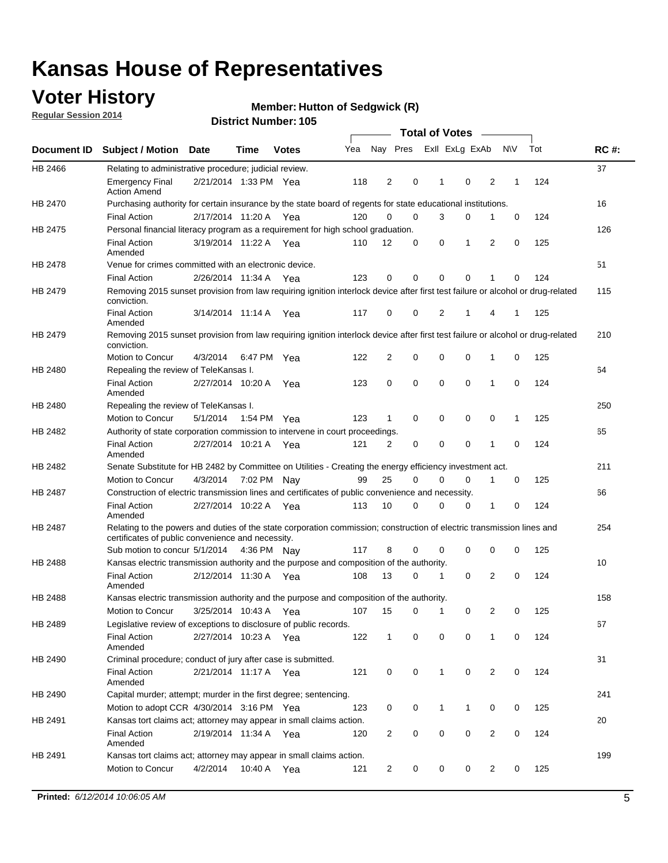### **Voter History**

**Regular Session 2014**

#### **Member: Hutton of Sedgwick (R)**

|                |                                                                                                                                                                             |                       |             |              |     |                |             | <b>Total of Votes</b> |                |   |             |     |             |
|----------------|-----------------------------------------------------------------------------------------------------------------------------------------------------------------------------|-----------------------|-------------|--------------|-----|----------------|-------------|-----------------------|----------------|---|-------------|-----|-------------|
|                | Document ID Subject / Motion Date                                                                                                                                           |                       | Time        | <b>Votes</b> | Yea |                | Nay Pres    |                       | Exll ExLg ExAb |   | <b>NV</b>   | Tot | <b>RC#:</b> |
| HB 2466        | Relating to administrative procedure; judicial review.                                                                                                                      |                       |             |              |     |                |             |                       |                |   |             |     | 37          |
|                | <b>Emergency Final</b><br><b>Action Amend</b>                                                                                                                               | 2/21/2014 1:33 PM Yea |             |              | 118 | 2              | 0           | 1                     | 0              | 2 | 1           | 124 |             |
| <b>HB 2470</b> | Purchasing authority for certain insurance by the state board of regents for state educational institutions.                                                                |                       |             |              |     |                |             |                       |                |   |             |     | 16          |
|                | <b>Final Action</b>                                                                                                                                                         | 2/17/2014 11:20 A Yea |             |              | 120 | 0              | 0           | 3                     | 0              | 1 | 0           | 124 |             |
| HB 2475        | Personal financial literacy program as a requirement for high school graduation.                                                                                            |                       |             |              |     |                |             |                       |                |   |             |     | 126         |
|                | <b>Final Action</b><br>Amended                                                                                                                                              | 3/19/2014 11:22 A Yea |             |              | 110 | 12             | 0           | 0                     | 1              | 2 | $\mathbf 0$ | 125 |             |
| HB 2478        | Venue for crimes committed with an electronic device.                                                                                                                       |                       |             |              |     |                |             |                       |                |   |             |     | 51          |
|                | <b>Final Action</b>                                                                                                                                                         | 2/26/2014 11:34 A     |             | Yea          | 123 | 0              | 0           | $\mathbf 0$           | $\mathbf 0$    | 1 | 0           | 124 |             |
| HB 2479        | Removing 2015 sunset provision from law requiring ignition interlock device after first test failure or alcohol or drug-related<br>conviction.                              |                       |             |              |     |                |             |                       |                |   |             |     | 115         |
|                | <b>Final Action</b><br>Amended                                                                                                                                              | 3/14/2014 11:14 A     |             | Yea          | 117 | $\mathbf 0$    | 0           | 2                     | 1              | 4 | 1           | 125 |             |
| HB 2479        | Removing 2015 sunset provision from law requiring ignition interlock device after first test failure or alcohol or drug-related<br>conviction.                              |                       |             |              |     |                |             |                       |                |   |             |     | 210         |
|                | Motion to Concur                                                                                                                                                            | 4/3/2014              |             | 6:47 PM Yea  | 122 | $\overline{2}$ | 0           | 0                     | $\mathbf 0$    | 1 | 0           | 125 |             |
| HB 2480        | Repealing the review of TeleKansas I.                                                                                                                                       |                       |             |              |     |                |             |                       |                |   |             |     | 64          |
|                | <b>Final Action</b><br>Amended                                                                                                                                              | 2/27/2014 10:20 A     |             | Yea          | 123 | 0              | 0           | $\mathbf 0$           | $\mathbf 0$    | 1 | 0           | 124 |             |
| HB 2480        | Repealing the review of TeleKansas I.                                                                                                                                       |                       |             |              |     |                |             |                       |                |   |             |     | 250         |
|                | Motion to Concur                                                                                                                                                            | 5/1/2014              |             | 1:54 PM Yea  | 123 | 1              | 0           | 0                     | 0              | 0 | 1           | 125 |             |
| <b>HB 2482</b> | Authority of state corporation commission to intervene in court proceedings.                                                                                                |                       |             |              |     |                |             |                       |                |   |             |     | 65          |
|                | <b>Final Action</b><br>Amended                                                                                                                                              | 2/27/2014 10:21 A     |             | Yea          | 121 | $\overline{2}$ | 0           | $\mathbf 0$           | $\mathbf 0$    | 1 | $\mathbf 0$ | 124 |             |
| HB 2482        | Senate Substitute for HB 2482 by Committee on Utilities - Creating the energy efficiency investment act.                                                                    |                       |             |              |     |                |             |                       |                |   |             |     | 211         |
|                | Motion to Concur                                                                                                                                                            | 4/3/2014              | 7:02 PM Nay |              | 99  | 25             | $\mathbf 0$ | 0                     | $\mathbf 0$    | 1 | 0           | 125 |             |
| HB 2487        | Construction of electric transmission lines and certificates of public convenience and necessity.                                                                           |                       |             |              |     |                |             |                       |                |   |             |     | 66          |
|                | <b>Final Action</b><br>Amended                                                                                                                                              | 2/27/2014 10:22 A     |             | Yea          | 113 | 10             | 0           | 0                     | 0              | 1 | 0           | 124 |             |
| HB 2487        | Relating to the powers and duties of the state corporation commission; construction of electric transmission lines and<br>certificates of public convenience and necessity. |                       |             |              |     |                |             |                       |                |   |             |     | 254         |
|                | Sub motion to concur 5/1/2014                                                                                                                                               |                       |             | 4:36 PM Nay  | 117 | 8              | 0           | 0                     | 0              | 0 | 0           | 125 |             |
| <b>HB 2488</b> | Kansas electric transmission authority and the purpose and composition of the authority.                                                                                    |                       |             |              |     |                |             |                       |                |   |             |     | 10          |
|                | <b>Final Action</b><br>Amended                                                                                                                                              | 2/12/2014 11:30 A     |             | Yea          | 108 | 13             | 0           | 1                     | 0              | 2 | 0           | 124 |             |
| <b>HB 2488</b> | Kansas electric transmission authority and the purpose and composition of the authority.                                                                                    |                       |             |              |     |                |             |                       |                |   |             |     | 158         |
|                | Motion to Concur                                                                                                                                                            | 3/25/2014 10:43 A     |             | Yea          | 107 | 15             | 0           | 1                     | 0              | 2 | 0           | 125 |             |
| HB 2489        | Legislative review of exceptions to disclosure of public records.                                                                                                           |                       |             |              |     |                |             |                       |                |   |             |     | 67          |
|                | <b>Final Action</b><br>Amended                                                                                                                                              | 2/27/2014 10:23 A Yea |             |              | 122 | $\mathbf 1$    | 0           | 0                     | 0              | 1 | 0           | 124 |             |
| HB 2490        | Criminal procedure; conduct of jury after case is submitted.                                                                                                                |                       |             |              |     |                |             |                       |                |   |             |     | 31          |
|                | <b>Final Action</b><br>Amended                                                                                                                                              | 2/21/2014 11:17 A Yea |             |              | 121 | 0              | 0           | $\mathbf{1}$          | $\mathbf 0$    | 2 | 0           | 124 |             |
| HB 2490        | Capital murder; attempt; murder in the first degree; sentencing.                                                                                                            |                       |             |              |     |                |             |                       |                |   |             |     | 241         |
|                | Motion to adopt CCR 4/30/2014 3:16 PM Yea                                                                                                                                   |                       |             |              | 123 | 0              | 0           | $\mathbf 1$           | 1              | 0 | 0           | 125 |             |
| HB 2491        | Kansas tort claims act; attorney may appear in small claims action.                                                                                                         |                       |             |              |     |                |             |                       |                |   |             |     | 20          |
|                | <b>Final Action</b><br>Amended                                                                                                                                              | 2/19/2014 11:34 A Yea |             |              | 120 | $\overline{c}$ | 0           | 0                     | $\pmb{0}$      | 2 | 0           | 124 |             |
| HB 2491        | Kansas tort claims act; attorney may appear in small claims action.                                                                                                         |                       |             |              |     |                |             |                       |                |   |             |     | 199         |
|                | Motion to Concur                                                                                                                                                            | 4/2/2014              | 10:40 A     | Yea          | 121 | 2              | 0           | 0                     | 0              | 2 | 0           | 125 |             |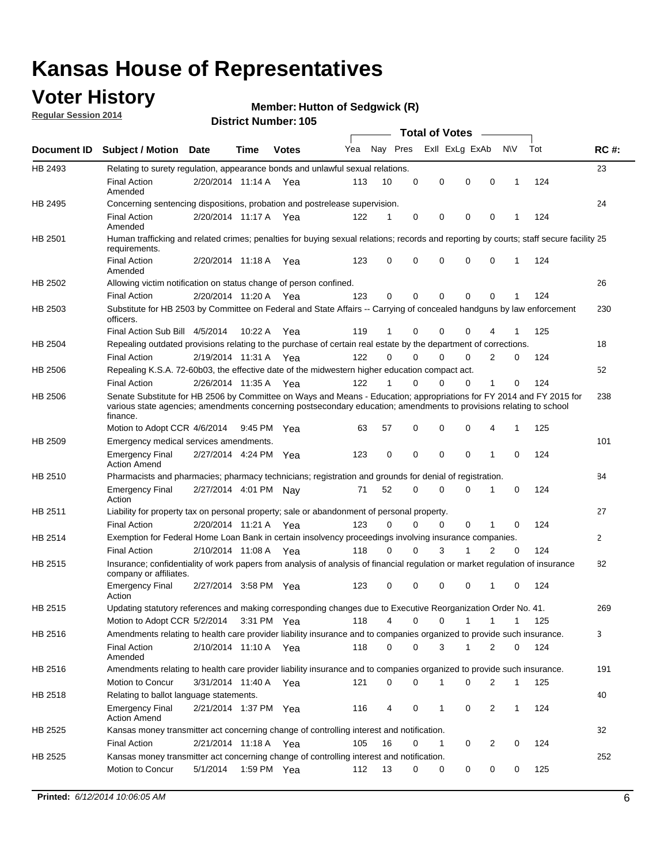### **Voter History**

**Regular Session 2014**

#### **Member: Hutton of Sedgwick (R)**

|             |                                                                                                                                                                                                                                                        |                       |             | DISTICI MUIIIDEI I 109 |     |          |          | Total of Votes –            |                |              |     |              |
|-------------|--------------------------------------------------------------------------------------------------------------------------------------------------------------------------------------------------------------------------------------------------------|-----------------------|-------------|------------------------|-----|----------|----------|-----------------------------|----------------|--------------|-----|--------------|
| Document ID | <b>Subject / Motion Date</b>                                                                                                                                                                                                                           |                       | <b>Time</b> | <b>Votes</b>           | Yea | Nay Pres |          | Exll ExLg ExAb              |                | N\V          | Tot | <b>RC#:</b>  |
| HB 2493     | Relating to surety regulation, appearance bonds and unlawful sexual relations.                                                                                                                                                                         |                       |             |                        |     |          |          |                             |                |              |     | 23           |
|             | <b>Final Action</b><br>Amended                                                                                                                                                                                                                         | 2/20/2014 11:14 A Yea |             |                        | 113 | 10       | 0        | 0<br>$\mathbf 0$            | $\mathbf 0$    | $\mathbf 1$  | 124 |              |
| HB 2495     | Concerning sentencing dispositions, probation and postrelease supervision.                                                                                                                                                                             |                       |             |                        |     |          |          |                             |                |              |     | 24           |
|             | <b>Final Action</b><br>Amended                                                                                                                                                                                                                         | 2/20/2014 11:17 A     |             | Yea                    | 122 | 1        | 0        | 0<br>0                      | $\mathbf 0$    | 1            | 124 |              |
| HB 2501     | Human trafficking and related crimes; penalties for buying sexual relations; records and reporting by courts; staff secure facility 25<br>requirements.                                                                                                |                       |             |                        |     |          |          |                             |                |              |     |              |
|             | <b>Final Action</b><br>Amended                                                                                                                                                                                                                         | 2/20/2014 11:18 A Yea |             |                        | 123 | 0        | 0        | 0<br>0                      | $\mathbf 0$    | 1            | 124 |              |
| HB 2502     | Allowing victim notification on status change of person confined.                                                                                                                                                                                      |                       |             |                        |     |          |          |                             |                |              |     | 26           |
|             | <b>Final Action</b>                                                                                                                                                                                                                                    | 2/20/2014 11:20 A Yea |             |                        | 123 | 0        | 0        | 0<br>0                      | $\mathbf 0$    |              | 124 |              |
| HB 2503     | Substitute for HB 2503 by Committee on Federal and State Affairs -- Carrying of concealed handguns by law enforcement<br>officers.                                                                                                                     |                       |             |                        |     |          |          |                             |                |              |     | 230          |
|             | Final Action Sub Bill 4/5/2014                                                                                                                                                                                                                         |                       | 10:22A      | Yea                    | 119 | 1        | 0        | 0<br>0                      |                |              | 125 |              |
| HB 2504     | Repealing outdated provisions relating to the purchase of certain real estate by the department of corrections.                                                                                                                                        |                       |             |                        |     |          |          |                             |                |              |     | 18           |
|             | <b>Final Action</b>                                                                                                                                                                                                                                    | 2/19/2014 11:31 A     |             | Yea                    | 122 | $\Omega$ | 0        | 0<br>0                      | 2              | 0            | 124 |              |
| HB 2506     | Repealing K.S.A. 72-60b03, the effective date of the midwestern higher education compact act.                                                                                                                                                          |                       |             |                        |     |          |          |                             |                |              |     | 52           |
|             | <b>Final Action</b>                                                                                                                                                                                                                                    | 2/26/2014 11:35 A Yea |             |                        | 122 | 1        | 0        | 0<br>0                      | 1              | 0            | 124 |              |
| HB 2506     | Senate Substitute for HB 2506 by Committee on Ways and Means - Education; appropriations for FY 2014 and FY 2015 for<br>various state agencies; amendments concerning postsecondary education; amendments to provisions relating to school<br>finance. |                       |             |                        |     |          |          |                             |                |              |     | 238          |
|             | Motion to Adopt CCR 4/6/2014                                                                                                                                                                                                                           |                       | 9:45 PM Yea |                        | 63  | 57       | 0        | 0<br>0                      | 4              | $\mathbf 1$  | 125 |              |
| HB 2509     | Emergency medical services amendments.                                                                                                                                                                                                                 |                       |             |                        |     |          |          |                             |                |              |     | 101          |
|             | <b>Emergency Final</b><br><b>Action Amend</b>                                                                                                                                                                                                          | 2/27/2014 4:24 PM Yea |             |                        | 123 | 0        | $\Omega$ | $\mathbf 0$<br>$\mathbf{0}$ | $\mathbf 1$    | $\Omega$     | 124 |              |
| HB 2510     | Pharmacists and pharmacies; pharmacy technicians; registration and grounds for denial of registration.                                                                                                                                                 |                       |             |                        |     |          |          |                             |                |              |     | 84           |
|             | <b>Emergency Final</b><br>Action                                                                                                                                                                                                                       | 2/27/2014 4:01 PM Nay |             |                        | 71  | 52       | 0        | 0<br>0                      | 1              | 0            | 124 |              |
| HB 2511     | Liability for property tax on personal property; sale or abandonment of personal property.                                                                                                                                                             |                       |             |                        |     |          |          |                             |                |              |     | 27           |
|             | <b>Final Action</b>                                                                                                                                                                                                                                    | 2/20/2014 11:21 A     |             | Yea                    | 123 | 0        | 0        | 0<br>0                      | 1              | 0            | 124 |              |
| HB 2514     | Exemption for Federal Home Loan Bank in certain insolvency proceedings involving insurance companies.                                                                                                                                                  |                       |             |                        |     |          |          |                             |                |              |     | $\mathbf{2}$ |
|             | <b>Final Action</b>                                                                                                                                                                                                                                    | 2/10/2014 11:08 A     |             | Yea                    | 118 | 0        | $\Omega$ | 3<br>1                      | $\overline{2}$ | $\mathbf 0$  | 124 |              |
| HB 2515     | Insurance; confidentiality of work papers from analysis of analysis of financial regulation or market regulation of insurance<br>company or affiliates.                                                                                                |                       |             |                        |     |          |          |                             |                |              |     | 82           |
|             | <b>Emergency Final</b><br>Action                                                                                                                                                                                                                       | 2/27/2014 3:58 PM Yea |             |                        | 123 | 0        | 0        | 0<br>0                      | -1             | $\Omega$     | 124 |              |
| HB 2515     | Updating statutory references and making corresponding changes due to Executive Reorganization Order No. 41.                                                                                                                                           |                       |             |                        |     |          |          |                             |                |              |     | 269          |
|             | Motion to Adopt CCR 5/2/2014 3:31 PM Yea                                                                                                                                                                                                               |                       |             |                        | 118 | 4        | 0        | 0<br>1                      | 1              | 1            | 125 |              |
| HB 2516     | Amendments relating to health care provider liability insurance and to companies organized to provide such insurance.                                                                                                                                  |                       |             |                        |     |          |          |                             |                |              |     | 3            |
|             | <b>Final Action</b><br>Amended                                                                                                                                                                                                                         | 2/10/2014 11:10 A Yea |             |                        | 118 | 0        | 0        | 3<br>1                      | 2              | 0            | 124 |              |
| HB 2516     | Amendments relating to health care provider liability insurance and to companies organized to provide such insurance.                                                                                                                                  |                       |             |                        |     |          |          |                             |                |              |     | 191          |
|             | <b>Motion to Concur</b>                                                                                                                                                                                                                                | 3/31/2014 11:40 A Yea |             |                        | 121 | 0        | 0        | 1<br>0                      | 2              | $\mathbf{1}$ | 125 |              |
| HB 2518     | Relating to ballot language statements.                                                                                                                                                                                                                |                       |             |                        |     |          |          |                             |                |              |     | 40           |
|             | <b>Emergency Final</b><br><b>Action Amend</b>                                                                                                                                                                                                          | 2/21/2014 1:37 PM Yea |             |                        | 116 | 4        | 0        | 1<br>0                      | 2              | $\mathbf{1}$ | 124 |              |
| HB 2525     | Kansas money transmitter act concerning change of controlling interest and notification.                                                                                                                                                               |                       |             |                        |     |          |          |                             |                |              |     | 32           |
|             | <b>Final Action</b>                                                                                                                                                                                                                                    | 2/21/2014 11:18 A Yea |             |                        | 105 | 16       | 0        | 1<br>0                      | 2              | 0            | 124 |              |
| HB 2525     | Kansas money transmitter act concerning change of controlling interest and notification.                                                                                                                                                               |                       |             |                        |     |          |          |                             |                |              |     | 252          |
|             | Motion to Concur                                                                                                                                                                                                                                       | 5/1/2014              |             | 1:59 PM Yea            | 112 | 13       | 0        | 0<br>0                      | 0              | 0            | 125 |              |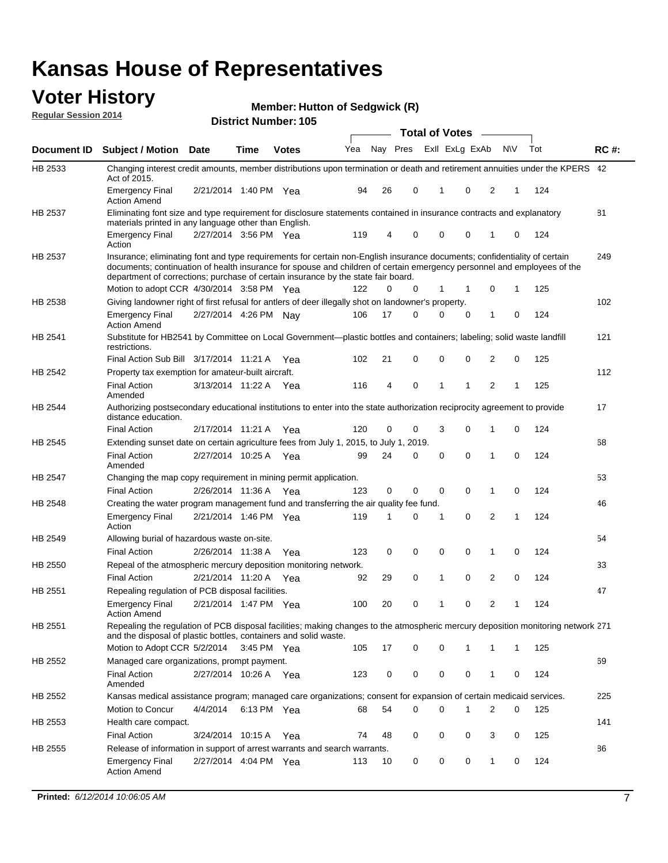#### **Voter History Regular Session 2014**

**Member: Hutton of Sedgwick (R)** 

|         |                                                                                                                                                                                                                                                                                                                                           |                       |             | DISTICL NUMBER 109 |     |    |             | <b>Total of Votes</b> |              | $\sim$         |                |     |     |             |
|---------|-------------------------------------------------------------------------------------------------------------------------------------------------------------------------------------------------------------------------------------------------------------------------------------------------------------------------------------------|-----------------------|-------------|--------------------|-----|----|-------------|-----------------------|--------------|----------------|----------------|-----|-----|-------------|
|         | Document ID Subject / Motion                                                                                                                                                                                                                                                                                                              | <b>Date</b>           | Time        | <b>Votes</b>       | Yea |    | Nay Pres    |                       |              | Exll ExLg ExAb |                | N\V | Tot | <b>RC#:</b> |
| HB 2533 | Changing interest credit amounts, member distributions upon termination or death and retirement annuities under the KPERS 42<br>Act of 2015.                                                                                                                                                                                              |                       |             |                    |     |    |             |                       |              |                |                |     |     |             |
|         | <b>Emergency Final</b><br><b>Action Amend</b>                                                                                                                                                                                                                                                                                             | 2/21/2014 1:40 PM Yea |             |                    | 94  | 26 | 0           |                       | 1            | 0              | 2              | 1   | 124 |             |
| HB 2537 | Eliminating font size and type requirement for disclosure statements contained in insurance contracts and explanatory<br>materials printed in any language other than English.                                                                                                                                                            |                       |             |                    |     |    |             |                       |              |                |                |     |     | 81          |
|         | <b>Emergency Final</b><br>Action                                                                                                                                                                                                                                                                                                          | 2/27/2014 3:56 PM Yea |             |                    | 119 | 4  | 0           |                       | $\mathbf 0$  | 0              | 1              | 0   | 124 |             |
| HB 2537 | Insurance; eliminating font and type requirements for certain non-English insurance documents; confidentiality of certain<br>documents; continuation of health insurance for spouse and children of certain emergency personnel and employees of the<br>department of corrections; purchase of certain insurance by the state fair board. |                       |             |                    |     |    |             |                       |              |                |                |     |     | 249         |
|         | Motion to adopt CCR 4/30/2014 3:58 PM Yea                                                                                                                                                                                                                                                                                                 |                       |             |                    | 122 | 0  | 0           |                       | 1            | 1              | 0              | 1   | 125 |             |
| HB 2538 | Giving landowner right of first refusal for antlers of deer illegally shot on landowner's property.                                                                                                                                                                                                                                       |                       |             |                    |     |    |             |                       |              |                |                |     |     | 102         |
|         | <b>Emergency Final</b><br><b>Action Amend</b>                                                                                                                                                                                                                                                                                             | 2/27/2014 4:26 PM Nay |             |                    | 106 | 17 | 0           |                       | $\mathbf 0$  | 0              | 1              | 0   | 124 |             |
| HB 2541 | Substitute for HB2541 by Committee on Local Government—plastic bottles and containers; labeling; solid waste landfill<br>restrictions.                                                                                                                                                                                                    |                       |             |                    |     |    |             |                       |              |                |                |     |     | 121         |
|         | Final Action Sub Bill 3/17/2014 11:21 A Yea                                                                                                                                                                                                                                                                                               |                       |             |                    | 102 | 21 | 0           |                       | $\mathbf 0$  | 0              | 2              | 0   | 125 |             |
| HB 2542 | Property tax exemption for amateur-built aircraft.                                                                                                                                                                                                                                                                                        |                       |             |                    |     |    |             |                       |              |                |                |     |     | 112         |
|         | <b>Final Action</b><br>Amended                                                                                                                                                                                                                                                                                                            | 3/13/2014 11:22 A Yea |             |                    | 116 | 4  | $\mathbf 0$ |                       | $\mathbf{1}$ | 1              | $\overline{2}$ | 1   | 125 |             |
| HB 2544 | Authorizing postsecondary educational institutions to enter into the state authorization reciprocity agreement to provide<br>distance education.                                                                                                                                                                                          |                       |             |                    |     |    |             |                       |              |                |                |     |     | 17          |
|         | <b>Final Action</b>                                                                                                                                                                                                                                                                                                                       | 2/17/2014 11:21 A Yea |             |                    | 120 | 0  | 0           |                       | 3            | 0              | 1              | 0   | 124 |             |
| HB 2545 | Extending sunset date on certain agriculture fees from July 1, 2015, to July 1, 2019.                                                                                                                                                                                                                                                     |                       |             |                    |     |    |             |                       |              |                |                |     |     | 68          |
|         | <b>Final Action</b><br>Amended                                                                                                                                                                                                                                                                                                            | 2/27/2014 10:25 A Yea |             |                    | 99  | 24 | 0           |                       | $\mathbf 0$  | $\Omega$       | 1              | 0   | 124 |             |
| HB 2547 | Changing the map copy requirement in mining permit application.                                                                                                                                                                                                                                                                           |                       |             |                    |     |    |             |                       |              |                |                |     |     | 53          |
|         | <b>Final Action</b>                                                                                                                                                                                                                                                                                                                       | 2/26/2014 11:36 A Yea |             |                    | 123 | 0  | 0           |                       | $\mathbf 0$  | 0              | 1              | 0   | 124 |             |
| HB 2548 | Creating the water program management fund and transferring the air quality fee fund.                                                                                                                                                                                                                                                     |                       |             |                    |     |    |             |                       |              |                |                |     |     | 46          |
|         | <b>Emergency Final</b><br>Action                                                                                                                                                                                                                                                                                                          | 2/21/2014 1:46 PM Yea |             |                    | 119 | 1  | 0           |                       | 1            | $\mathbf 0$    | 2              | 1   | 124 |             |
| HB 2549 | Allowing burial of hazardous waste on-site.                                                                                                                                                                                                                                                                                               |                       |             |                    |     |    |             |                       |              |                |                |     |     | 54          |
|         | <b>Final Action</b>                                                                                                                                                                                                                                                                                                                       | 2/26/2014 11:38 A     |             | Yea                | 123 | 0  | 0           |                       | $\mathbf 0$  | 0              | 1              | 0   | 124 |             |
| HB 2550 | Repeal of the atmospheric mercury deposition monitoring network.                                                                                                                                                                                                                                                                          |                       |             |                    |     |    |             |                       |              |                |                |     |     | 33          |
|         | <b>Final Action</b>                                                                                                                                                                                                                                                                                                                       | 2/21/2014 11:20 A Yea |             |                    | 92  | 29 | 0           |                       | 1            | 0              | 2              | 0   | 124 |             |
| HB 2551 | Repealing regulation of PCB disposal facilities.                                                                                                                                                                                                                                                                                          |                       |             |                    |     |    |             |                       |              |                |                |     |     | 47          |
|         | <b>Emergency Final</b><br><b>Action Amend</b>                                                                                                                                                                                                                                                                                             | 2/21/2014 1:47 PM Yea |             |                    | 100 | 20 | 0           |                       | 1            | 0              | 2              | 1   | 124 |             |
| HB 2551 | Repealing the regulation of PCB disposal facilities; making changes to the atmospheric mercury deposition monitoring network 271<br>and the disposal of plastic bottles, containers and solid waste.                                                                                                                                      |                       |             |                    |     |    |             |                       |              |                |                |     |     |             |
|         | Motion to Adopt CCR 5/2/2014 3:45 PM Yea                                                                                                                                                                                                                                                                                                  |                       |             |                    | 105 | 17 | 0           |                       | 0            | 1              | 1              | 1   | 125 |             |
| HB 2552 | Managed care organizations, prompt payment.                                                                                                                                                                                                                                                                                               |                       |             |                    |     |    |             |                       |              |                |                |     |     | 69          |
|         | <b>Final Action</b><br>Amended                                                                                                                                                                                                                                                                                                            | 2/27/2014 10:26 A Yea |             |                    | 123 | 0  | 0           |                       | 0            | 0              | 1              | 0   | 124 |             |
| HB 2552 | Kansas medical assistance program; managed care organizations; consent for expansion of certain medicaid services.                                                                                                                                                                                                                        |                       |             |                    |     |    |             |                       |              |                |                |     |     | 225         |
|         | Motion to Concur                                                                                                                                                                                                                                                                                                                          | 4/4/2014              | 6:13 PM Yea |                    | 68  | 54 | 0           |                       | $\Omega$     | 1              | 2              | 0   | 125 |             |
| HB 2553 | Health care compact.                                                                                                                                                                                                                                                                                                                      |                       |             |                    |     |    |             |                       |              |                |                |     |     | 141         |
|         | <b>Final Action</b>                                                                                                                                                                                                                                                                                                                       | 3/24/2014 10:15 A Yea |             |                    | 74  | 48 | 0           |                       | $\mathbf 0$  | 0              | 3              | 0   | 125 |             |
| HB 2555 | Release of information in support of arrest warrants and search warrants.                                                                                                                                                                                                                                                                 |                       |             |                    |     |    |             |                       |              |                |                |     |     | 86          |
|         | <b>Emergency Final</b><br><b>Action Amend</b>                                                                                                                                                                                                                                                                                             | 2/27/2014 4:04 PM Yea |             |                    | 113 | 10 | 0           |                       | 0            | 0              | $\mathbf{1}$   | 0   | 124 |             |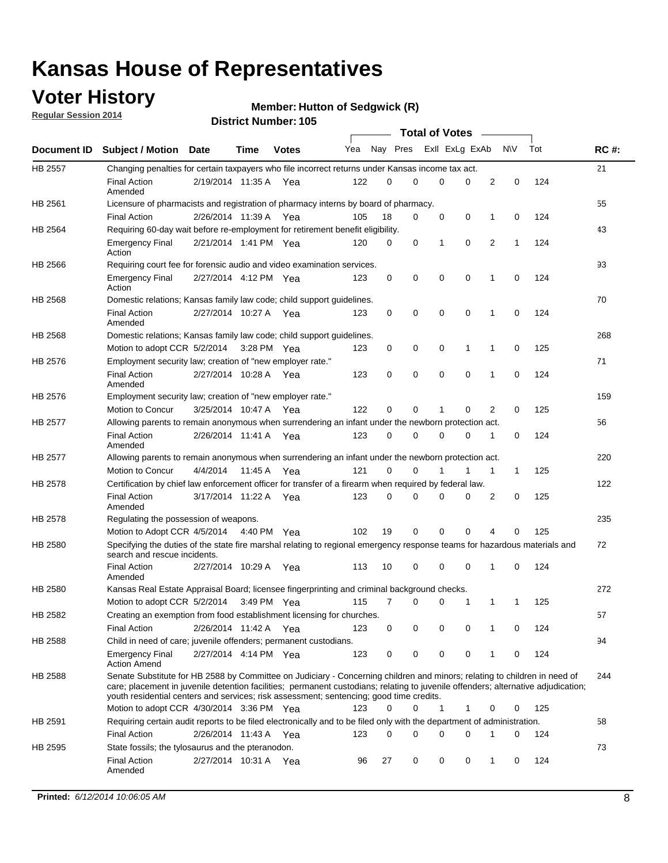### **Voter History**

**Regular Session 2014**

#### **Member: Hutton of Sedgwick (R)**

|                                                                                                                       |                                                                                                                                                                                                                                                                                                                                                           |                       |             |              |     |          |   | <b>Total of Votes</b> |             |              |              |     |             |
|-----------------------------------------------------------------------------------------------------------------------|-----------------------------------------------------------------------------------------------------------------------------------------------------------------------------------------------------------------------------------------------------------------------------------------------------------------------------------------------------------|-----------------------|-------------|--------------|-----|----------|---|-----------------------|-------------|--------------|--------------|-----|-------------|
|                                                                                                                       | Document ID Subject / Motion Date                                                                                                                                                                                                                                                                                                                         |                       | Time        | <b>Votes</b> | Yea | Nay Pres |   | Exll ExLg ExAb        |             |              | <b>NV</b>    | Tot | <b>RC#:</b> |
| <b>HB 2557</b>                                                                                                        | Changing penalties for certain taxpayers who file incorrect returns under Kansas income tax act.                                                                                                                                                                                                                                                          |                       |             |              |     |          |   |                       |             |              |              |     | 21          |
|                                                                                                                       | <b>Final Action</b><br>Amended                                                                                                                                                                                                                                                                                                                            | 2/19/2014 11:35 A     |             | Yea          | 122 | 0        | 0 | 0                     | 0           | 2            | 0            | 124 |             |
| HB 2561<br>HB 2564<br>HB 2566<br>HB 2568<br>HB 2568<br>HB 2576<br>HB 2576<br>HB 2577<br>HB 2577<br>HB 2578<br>HB 2578 | Licensure of pharmacists and registration of pharmacy interns by board of pharmacy.                                                                                                                                                                                                                                                                       |                       |             |              |     |          |   |                       |             |              |              |     | 55          |
|                                                                                                                       | <b>Final Action</b>                                                                                                                                                                                                                                                                                                                                       | 2/26/2014 11:39 A Yea |             |              | 105 | 18       | 0 | 0                     | 0           | 1            | 0            | 124 |             |
|                                                                                                                       | Requiring 60-day wait before re-employment for retirement benefit eligibility.                                                                                                                                                                                                                                                                            |                       |             |              |     |          |   |                       |             |              |              |     | 43          |
|                                                                                                                       | <b>Emergency Final</b><br>Action                                                                                                                                                                                                                                                                                                                          | 2/21/2014 1:41 PM Yea |             |              | 120 | 0        | 0 | 1                     | 0           | 2            | 1            | 124 |             |
|                                                                                                                       | Requiring court fee for forensic audio and video examination services.                                                                                                                                                                                                                                                                                    |                       |             |              |     |          |   |                       |             |              |              |     | 93          |
|                                                                                                                       | <b>Emergency Final</b><br>Action                                                                                                                                                                                                                                                                                                                          | 2/27/2014 4:12 PM Yea |             |              | 123 | 0        | 0 | 0                     | $\mathbf 0$ | 1            | $\mathbf 0$  | 124 |             |
|                                                                                                                       | Domestic relations; Kansas family law code; child support guidelines.                                                                                                                                                                                                                                                                                     |                       |             |              |     |          |   |                       |             |              |              |     | 70          |
|                                                                                                                       | <b>Final Action</b><br>Amended                                                                                                                                                                                                                                                                                                                            | 2/27/2014 10:27 A     |             | Yea          | 123 | 0        | 0 | 0                     | 0           | 1            | 0            | 124 |             |
|                                                                                                                       | Domestic relations; Kansas family law code; child support guidelines.                                                                                                                                                                                                                                                                                     |                       |             |              |     |          |   |                       |             |              |              |     | 268         |
|                                                                                                                       | Motion to adopt CCR 5/2/2014                                                                                                                                                                                                                                                                                                                              |                       | 3:28 PM Yea |              | 123 | 0        | 0 | 0                     | 1           | 1            | 0            | 125 |             |
|                                                                                                                       | Employment security law; creation of "new employer rate."                                                                                                                                                                                                                                                                                                 |                       |             |              |     |          |   |                       |             |              |              |     | 71          |
|                                                                                                                       | <b>Final Action</b><br>Amended                                                                                                                                                                                                                                                                                                                            | 2/27/2014 10:28 A     |             | Yea          | 123 | 0        | 0 | 0                     | $\mathbf 0$ | 1            | 0            | 124 |             |
|                                                                                                                       | Employment security law; creation of "new employer rate."                                                                                                                                                                                                                                                                                                 |                       |             |              |     |          |   |                       |             |              |              |     | 159         |
|                                                                                                                       | Motion to Concur                                                                                                                                                                                                                                                                                                                                          | 3/25/2014 10:47 A     |             | Yea          | 122 | 0        | 0 | 1                     | 0           | 2            | 0            | 125 |             |
|                                                                                                                       | Allowing parents to remain anonymous when surrendering an infant under the newborn protection act.                                                                                                                                                                                                                                                        |                       |             |              |     |          |   |                       |             |              |              |     | 56          |
|                                                                                                                       | <b>Final Action</b><br>Amended                                                                                                                                                                                                                                                                                                                            | 2/26/2014 11:41 A Yea |             |              | 123 | 0        | 0 | 0                     | $\Omega$    | 1            | 0            | 124 |             |
|                                                                                                                       | Allowing parents to remain anonymous when surrendering an infant under the newborn protection act.                                                                                                                                                                                                                                                        |                       |             |              |     |          |   |                       |             |              |              |     | 220         |
|                                                                                                                       | Motion to Concur                                                                                                                                                                                                                                                                                                                                          | 4/4/2014              | 11:45 A     | Yea          | 121 | $\Omega$ | 0 |                       | 1           | $\mathbf{1}$ | $\mathbf{1}$ | 125 |             |
|                                                                                                                       | Certification by chief law enforcement officer for transfer of a firearm when required by federal law.                                                                                                                                                                                                                                                    |                       |             |              |     |          |   |                       |             |              |              |     | 122         |
|                                                                                                                       | <b>Final Action</b><br>Amended                                                                                                                                                                                                                                                                                                                            | 3/17/2014 11:22 A     |             | Yea          | 123 | $\Omega$ | 0 | 0                     | $\Omega$    | 2            | 0            | 125 |             |
|                                                                                                                       | Regulating the possession of weapons.                                                                                                                                                                                                                                                                                                                     |                       |             |              |     |          |   |                       |             |              |              |     | 235         |
|                                                                                                                       | Motion to Adopt CCR 4/5/2014 4:40 PM Yea                                                                                                                                                                                                                                                                                                                  |                       |             |              | 102 | 19       | 0 | 0                     | 0           | 4            | $\Omega$     | 125 |             |
| HB 2580                                                                                                               | Specifying the duties of the state fire marshal relating to regional emergency response teams for hazardous materials and<br>search and rescue incidents.                                                                                                                                                                                                 |                       |             |              |     |          |   |                       |             |              |              |     | 72          |
|                                                                                                                       | <b>Final Action</b><br>Amended                                                                                                                                                                                                                                                                                                                            | 2/27/2014 10:29 A     |             | Yea          | 113 | 10       | 0 | 0                     | 0           | 1            | 0            | 124 |             |
| HB 2580                                                                                                               | Kansas Real Estate Appraisal Board; licensee fingerprinting and criminal background checks.                                                                                                                                                                                                                                                               |                       |             |              |     |          |   |                       |             |              |              |     | 272         |
|                                                                                                                       | Motion to adopt CCR 5/2/2014                                                                                                                                                                                                                                                                                                                              |                       |             | 3:49 PM Yea  | 115 | 7        | 0 | 0                     | 1           | 1            | -1           | 125 |             |
| HB 2582                                                                                                               | Creating an exemption from food establishment licensing for churches.                                                                                                                                                                                                                                                                                     |                       |             |              |     |          |   |                       |             |              |              |     | 57          |
|                                                                                                                       | <b>Final Action</b>                                                                                                                                                                                                                                                                                                                                       | 2/26/2014 11:42 A Yea |             |              | 123 | 0        | 0 | 0                     | 0           | 1            | 0            | 124 |             |
| HB 2588                                                                                                               | Child in need of care; juvenile offenders; permanent custodians.                                                                                                                                                                                                                                                                                          |                       |             |              |     |          |   |                       |             |              |              |     | 94          |
|                                                                                                                       | <b>Emergency Final</b><br><b>Action Amend</b>                                                                                                                                                                                                                                                                                                             | 2/27/2014 4:14 PM Yea |             |              | 123 | 0        | 0 | 0                     | 0           | 1            | 0            | 124 |             |
| HB 2588                                                                                                               | Senate Substitute for HB 2588 by Committee on Judiciary - Concerning children and minors; relating to children in need of<br>care; placement in juvenile detention facilities; permanent custodians; relating to juvenile offenders; alternative adjudication;<br>youth residential centers and services; risk assessment; sentencing; good time credits. |                       |             |              |     |          |   |                       |             |              |              |     | 244         |
|                                                                                                                       | Motion to adopt CCR 4/30/2014 3:36 PM Yea                                                                                                                                                                                                                                                                                                                 |                       |             |              | 123 | 0        | 0 | 1                     | 1           | 0            | 0            | 125 |             |
| HB 2591                                                                                                               | Requiring certain audit reports to be filed electronically and to be filed only with the department of administration.                                                                                                                                                                                                                                    |                       |             |              |     |          |   |                       |             |              |              |     | 58          |
|                                                                                                                       | <b>Final Action</b>                                                                                                                                                                                                                                                                                                                                       | 2/26/2014 11:43 A Yea |             |              | 123 | 0        | 0 | 0                     | 0           | 1            | 0            | 124 |             |
| HB 2595                                                                                                               | State fossils; the tylosaurus and the pteranodon.                                                                                                                                                                                                                                                                                                         |                       |             |              |     |          |   |                       |             |              |              |     | 73          |
|                                                                                                                       | <b>Final Action</b><br>Amended                                                                                                                                                                                                                                                                                                                            | 2/27/2014 10:31 A Yea |             |              | 96  | 27       | 0 | 0                     | 0           | 1            | 0            | 124 |             |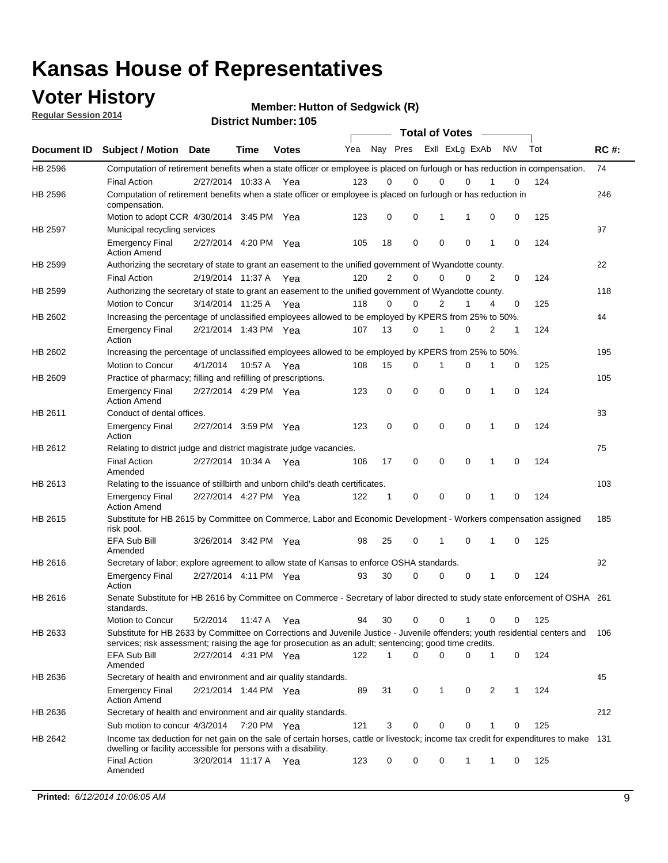### **Voter History**

**Regular Session 2014**

**Member: Hutton of Sedgwick (R)** 

|                |                                                                                                                                                                                                                                       |                       |             | <b>DISTRICT MAILINGL. 105</b> |     |                |             | <b>Total of Votes</b>      |   |           |     |     |             |
|----------------|---------------------------------------------------------------------------------------------------------------------------------------------------------------------------------------------------------------------------------------|-----------------------|-------------|-------------------------------|-----|----------------|-------------|----------------------------|---|-----------|-----|-----|-------------|
| Document ID    | <b>Subject / Motion Date</b>                                                                                                                                                                                                          |                       | Time        | <b>Votes</b>                  | Yea |                | Nay Pres    | Exll ExLg ExAb             |   | <b>NV</b> | Tot |     | <b>RC#:</b> |
| HB 2596        | Computation of retirement benefits when a state officer or employee is placed on furlough or has reduction in compensation.                                                                                                           |                       |             |                               |     |                |             |                            |   |           |     |     | 74          |
|                | <b>Final Action</b>                                                                                                                                                                                                                   | 2/27/2014 10:33 A     |             | Yea                           | 123 | 0              | 0           | 0<br>$\Omega$              |   |           | 0   | 124 |             |
| HB 2596        | Computation of retirement benefits when a state officer or employee is placed on furlough or has reduction in<br>compensation.                                                                                                        |                       |             |                               |     |                |             |                            |   |           |     |     | 246         |
|                | Motion to adopt CCR 4/30/2014 3:45 PM Yea                                                                                                                                                                                             |                       |             |                               | 123 | 0              | 0           | 1<br>1                     |   | 0         | 0   | 125 |             |
| <b>HB 2597</b> | Municipal recycling services                                                                                                                                                                                                          |                       |             |                               |     |                |             |                            |   |           |     |     | 97          |
|                | <b>Emergency Final</b><br><b>Action Amend</b>                                                                                                                                                                                         | 2/27/2014 4:20 PM Yea |             |                               | 105 | 18             | $\mathbf 0$ | $\mathbf 0$<br>$\mathbf 0$ |   | 1         | 0   | 124 |             |
| HB 2599        | Authorizing the secretary of state to grant an easement to the unified government of Wyandotte county.                                                                                                                                |                       |             |                               |     |                |             |                            |   |           |     |     | 22          |
|                | <b>Final Action</b>                                                                                                                                                                                                                   | 2/19/2014 11:37 A     |             | Yea                           | 120 | $\overline{2}$ | 0           | $\mathbf 0$<br>$\Omega$    |   | 2         | 0   | 124 |             |
| HB 2599        | Authorizing the secretary of state to grant an easement to the unified government of Wyandotte county.                                                                                                                                |                       |             |                               |     |                |             |                            |   |           |     |     | 118         |
|                | Motion to Concur                                                                                                                                                                                                                      | 3/14/2014 11:25 A     |             | Yea                           | 118 | $\Omega$       | 0           | 2<br>1                     |   | 4         | 0   | 125 |             |
| HB 2602        | Increasing the percentage of unclassified employees allowed to be employed by KPERS from 25% to 50%.                                                                                                                                  |                       |             |                               |     |                |             |                            |   |           |     |     | 44          |
|                | <b>Emergency Final</b><br>Action                                                                                                                                                                                                      | 2/21/2014 1:43 PM Yea |             |                               | 107 | 13             | 0           | $\mathbf 0$<br>1           |   | 2         | 1   | 124 |             |
| HB 2602        | Increasing the percentage of unclassified employees allowed to be employed by KPERS from 25% to 50%.                                                                                                                                  |                       |             |                               |     |                |             |                            |   |           |     |     | 195         |
|                | Motion to Concur                                                                                                                                                                                                                      | 4/1/2014              | 10:57 A Yea |                               | 108 | 15             | 0           | 1<br>0                     |   | 1         | 0   | 125 |             |
| HB 2609        | Practice of pharmacy; filling and refilling of prescriptions.                                                                                                                                                                         |                       |             |                               |     |                |             |                            |   |           |     |     | 105         |
|                | <b>Emergency Final</b><br><b>Action Amend</b>                                                                                                                                                                                         | 2/27/2014 4:29 PM Yea |             |                               | 123 | 0              | $\mathbf 0$ | $\mathbf 0$<br>$\mathbf 0$ |   | 1         | 0   | 124 |             |
| HB 2611        | Conduct of dental offices.                                                                                                                                                                                                            |                       |             |                               |     |                |             |                            |   |           |     |     | 83          |
|                | <b>Emergency Final</b><br>Action                                                                                                                                                                                                      | 2/27/2014 3:59 PM Yea |             |                               | 123 | $\mathbf 0$    | $\mathbf 0$ | $\mathbf 0$<br>$\mathbf 0$ |   | 1         | 0   | 124 |             |
| HB 2612        | Relating to district judge and district magistrate judge vacancies.                                                                                                                                                                   |                       |             |                               |     |                |             |                            |   |           |     |     | 75          |
|                | <b>Final Action</b><br>Amended                                                                                                                                                                                                        | 2/27/2014 10:34 A     |             | Yea                           | 106 | 17             | 0           | $\mathbf 0$<br>0           |   | 1         | 0   | 124 |             |
| HB 2613        | Relating to the issuance of stillbirth and unborn child's death certificates.                                                                                                                                                         |                       |             |                               |     |                |             |                            |   |           |     |     | 103         |
|                | <b>Emergency Final</b><br><b>Action Amend</b>                                                                                                                                                                                         | 2/27/2014 4:27 PM Yea |             |                               | 122 | 1              | 0           | $\mathbf 0$<br>$\Omega$    |   | 1         | 0   | 124 |             |
| HB 2615        | Substitute for HB 2615 by Committee on Commerce, Labor and Economic Development - Workers compensation assigned<br>risk pool.                                                                                                         |                       |             |                               |     |                |             |                            |   |           |     |     | 185         |
|                | EFA Sub Bill<br>Amended                                                                                                                                                                                                               | 3/26/2014 3:42 PM Yea |             |                               | 98  | 25             | 0           | 0<br>1                     |   | 1         | 0   | 125 |             |
| HB 2616        | Secretary of labor; explore agreement to allow state of Kansas to enforce OSHA standards.                                                                                                                                             |                       |             |                               |     |                |             |                            |   |           |     |     | 92          |
|                | <b>Emergency Final</b><br>Action                                                                                                                                                                                                      | 2/27/2014 4:11 PM Yea |             |                               | 93  | 30             | 0           | 0<br>0                     |   | 1         | 0   | 124 |             |
| HB 2616        | Senate Substitute for HB 2616 by Committee on Commerce - Secretary of labor directed to study state enforcement of OSHA 261<br>standards.                                                                                             |                       |             |                               |     |                |             |                            |   |           |     |     |             |
|                | Motion to Concur                                                                                                                                                                                                                      | 5/2/2014              | 11:47 A Yea |                               | 94  | 30             | 0           | 0                          |   | 0         | 0   | 125 |             |
| HB 2633        | Substitute for HB 2633 by Committee on Corrections and Juvenile Justice - Juvenile offenders; youth residential centers and<br>services; risk assessment; raising the age for prosecution as an adult; sentencing; good time credits. |                       |             |                               |     |                |             |                            |   |           |     |     | 106         |
|                | EFA Sub Bill<br>Amended                                                                                                                                                                                                               | 2/27/2014 4:31 PM Yea |             |                               | 122 | $\mathbf{1}$   | $\Omega$    | $\mathbf 0$<br>0           |   | 1         | 0   | 124 |             |
| HB 2636        | Secretary of health and environment and air quality standards.                                                                                                                                                                        |                       |             |                               |     |                |             |                            |   |           |     |     | 45          |
|                | <b>Emergency Final</b><br><b>Action Amend</b>                                                                                                                                                                                         | 2/21/2014 1:44 PM Yea |             |                               | 89  | 31             | 0           | 1                          | 0 | 2         | 1   | 124 |             |
| HB 2636        | Secretary of health and environment and air quality standards.                                                                                                                                                                        |                       |             |                               |     |                |             |                            |   |           |     |     | 212         |
|                | Sub motion to concur 4/3/2014 7:20 PM Yea                                                                                                                                                                                             |                       |             |                               | 121 | 3              | 0           | 0<br>0                     |   |           | 0   | 125 |             |
| HB 2642        | Income tax deduction for net gain on the sale of certain horses, cattle or livestock; income tax credit for expenditures to make 131<br>dwelling or facility accessible for persons with a disability.                                |                       |             |                               |     |                |             |                            |   |           |     |     |             |
|                | <b>Final Action</b><br>Amended                                                                                                                                                                                                        | 3/20/2014 11:17 A Yea |             |                               | 123 | 0              | 0           | 0<br>1                     |   | 1         | 0   | 125 |             |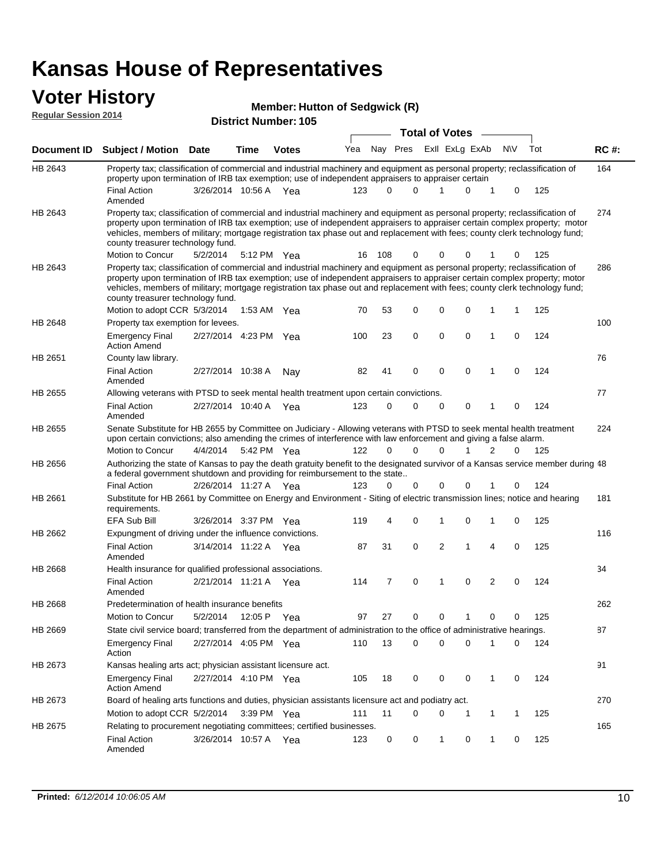#### **Voter History Regular Session 2014**

| <b>District Number: 105</b> |  |  |
|-----------------------------|--|--|

|                    | <b>DISTINT MAILINGL' INA</b><br><b>Total of Votes</b>                                                                                                                                                                                                                                                                                                                                                                         |                       |      |              |     |          |                             |             |             |              |             |     |             |
|--------------------|-------------------------------------------------------------------------------------------------------------------------------------------------------------------------------------------------------------------------------------------------------------------------------------------------------------------------------------------------------------------------------------------------------------------------------|-----------------------|------|--------------|-----|----------|-----------------------------|-------------|-------------|--------------|-------------|-----|-------------|
| <b>Document ID</b> | <b>Subject / Motion Date</b>                                                                                                                                                                                                                                                                                                                                                                                                  |                       | Time | <b>Votes</b> |     |          | Yea Nay Pres ExII ExLg ExAb |             |             |              | <b>NV</b>   | Tot | <b>RC#:</b> |
| HB 2643            | Property tax; classification of commercial and industrial machinery and equipment as personal property; reclassification of<br>property upon termination of IRB tax exemption; use of independent appraisers to appraiser certain                                                                                                                                                                                             |                       |      |              |     |          |                             |             |             |              |             |     | 164         |
|                    | <b>Final Action</b><br>Amended                                                                                                                                                                                                                                                                                                                                                                                                | 3/26/2014 10:56 A     |      | - Yea        | 123 | 0        | $\Omega$                    | 1           | $\mathbf 0$ | 1            | 0           | 125 |             |
| HB 2643            | Property tax; classification of commercial and industrial machinery and equipment as personal property; reclassification of<br>property upon termination of IRB tax exemption; use of independent appraisers to appraiser certain complex property; motor<br>vehicles, members of military; mortgage registration tax phase out and replacement with fees; county clerk technology fund;<br>county treasurer technology fund. |                       |      |              |     |          |                             |             |             |              |             |     | 274         |
|                    | <b>Motion to Concur</b>                                                                                                                                                                                                                                                                                                                                                                                                       | 5/2/2014              |      | 5:12 PM Yea  | 16  | - 108    | 0                           | 0           | 0           |              | 0           | 125 |             |
| HB 2643            | Property tax; classification of commercial and industrial machinery and equipment as personal property; reclassification of<br>property upon termination of IRB tax exemption; use of independent appraisers to appraiser certain complex property; motor<br>vehicles, members of military; mortgage registration tax phase out and replacement with fees; county clerk technology fund;<br>county treasurer technology fund. |                       |      |              |     |          |                             |             |             |              |             |     | 286         |
|                    | Motion to adopt CCR 5/3/2014                                                                                                                                                                                                                                                                                                                                                                                                  |                       |      | 1:53 AM Yea  | 70  | 53       | 0                           | 0           | $\mathbf 0$ | 1            | 1           | 125 |             |
| HB 2648            | Property tax exemption for levees.                                                                                                                                                                                                                                                                                                                                                                                            | 2/27/2014 4:23 PM Yea |      |              | 100 | 23       | 0                           | $\mathbf 0$ | $\mathbf 0$ | 1            | $\mathbf 0$ | 124 | 100         |
|                    | <b>Emergency Final</b><br><b>Action Amend</b>                                                                                                                                                                                                                                                                                                                                                                                 |                       |      |              |     |          |                             |             |             |              |             |     |             |
| HB 2651            | County law library.                                                                                                                                                                                                                                                                                                                                                                                                           |                       |      |              |     |          |                             |             |             |              |             |     | 76          |
|                    | <b>Final Action</b><br>Amended                                                                                                                                                                                                                                                                                                                                                                                                | 2/27/2014 10:38 A     |      | Nay          | 82  | 41       | 0                           | 0           | $\mathbf 0$ | 1            | 0           | 124 |             |
| HB 2655            | Allowing veterans with PTSD to seek mental health treatment upon certain convictions.                                                                                                                                                                                                                                                                                                                                         |                       |      |              |     |          |                             |             |             |              |             |     | 77          |
|                    | <b>Final Action</b><br>Amended                                                                                                                                                                                                                                                                                                                                                                                                | 2/27/2014 10:40 A Yea |      |              | 123 | 0        | 0                           | 0           | 0           | $\mathbf{1}$ | 0           | 124 |             |
| HB 2655            | Senate Substitute for HB 2655 by Committee on Judiciary - Allowing veterans with PTSD to seek mental health treatment<br>upon certain convictions; also amending the crimes of interference with law enforcement and giving a false alarm.                                                                                                                                                                                    |                       |      |              |     |          |                             |             |             |              |             |     | 224         |
|                    | Motion to Concur                                                                                                                                                                                                                                                                                                                                                                                                              | 4/4/2014              |      | 5:42 PM Yea  | 122 | $\Omega$ | 0                           | $\Omega$    |             | 2            | 0           | 125 |             |
| HB 2656            | Authorizing the state of Kansas to pay the death gratuity benefit to the designated survivor of a Kansas service member during 48<br>a federal government shutdown and providing for reimbursement to the state                                                                                                                                                                                                               |                       |      |              |     |          |                             |             |             |              |             |     |             |
|                    | <b>Final Action</b>                                                                                                                                                                                                                                                                                                                                                                                                           | 2/26/2014 11:27 A Yea |      |              | 123 | 0        | 0                           | 0           | 0           |              | 0           | 124 |             |
| HB 2661            | Substitute for HB 2661 by Committee on Energy and Environment - Siting of electric transmission lines; notice and hearing<br>requirements.                                                                                                                                                                                                                                                                                    |                       |      |              |     |          |                             |             |             |              |             |     | 181         |
|                    | EFA Sub Bill                                                                                                                                                                                                                                                                                                                                                                                                                  | 3/26/2014 3:37 PM Yea |      |              | 119 | 4        | 0                           | 1           | $\mathbf 0$ | 1            | 0           | 125 |             |
| HB 2662            | Expungment of driving under the influence convictions.                                                                                                                                                                                                                                                                                                                                                                        |                       |      |              |     |          |                             |             |             |              |             |     | 116         |
|                    | <b>Final Action</b><br>Amended                                                                                                                                                                                                                                                                                                                                                                                                | 3/14/2014 11:22 A Yea |      |              | 87  | 31       | 0                           | 2           | 1           | 4            | 0           | 125 |             |
| <b>HB 2668</b>     | Health insurance for qualified professional associations.                                                                                                                                                                                                                                                                                                                                                                     |                       |      |              |     |          |                             |             |             |              |             |     | 34          |
|                    | <b>Final Action</b><br>Amended                                                                                                                                                                                                                                                                                                                                                                                                | 2/21/2014 11:21 A Yea |      |              | 114 | 7        | 0                           | 1           | $\mathbf 0$ | 2            | 0           | 124 |             |
| HB 2668            | Predetermination of health insurance benefits                                                                                                                                                                                                                                                                                                                                                                                 |                       |      |              |     |          |                             |             |             |              |             |     | 262         |
|                    | Motion to Concur                                                                                                                                                                                                                                                                                                                                                                                                              | 5/2/2014              |      | 12:05 P Yea  | 97  | 27       | 0                           | 0           | 1           | 0            | 0           | 125 |             |
| HB 2669            | State civil service board; transferred from the department of administration to the office of administrative hearings.                                                                                                                                                                                                                                                                                                        |                       |      |              |     |          |                             |             |             |              |             |     | 87          |
|                    | Emergency Final<br>Action                                                                                                                                                                                                                                                                                                                                                                                                     | 2/27/2014 4:05 PM Yea |      |              | 110 | 13       | 0                           | 0           | $\mathbf 0$ | 1            | 0           | 124 |             |
| HB 2673            | Kansas healing arts act; physician assistant licensure act.                                                                                                                                                                                                                                                                                                                                                                   |                       |      |              |     |          |                             |             |             |              |             |     | 91          |
|                    | <b>Emergency Final</b><br><b>Action Amend</b>                                                                                                                                                                                                                                                                                                                                                                                 | 2/27/2014 4:10 PM Yea |      |              | 105 | 18       | 0                           | 0           | 0           | 1            | 0           | 124 |             |
| HB 2673            | Board of healing arts functions and duties, physician assistants licensure act and podiatry act.                                                                                                                                                                                                                                                                                                                              |                       |      |              |     |          |                             |             |             |              |             |     | 270         |
|                    | Motion to adopt CCR 5/2/2014 3:39 PM Yea                                                                                                                                                                                                                                                                                                                                                                                      |                       |      |              | 111 | 11       | 0                           | 0           |             | 1            | 1           | 125 |             |
| HB 2675            | Relating to procurement negotiating committees; certified businesses.                                                                                                                                                                                                                                                                                                                                                         |                       |      |              |     |          |                             |             |             |              |             |     | 165         |
|                    | <b>Final Action</b><br>Amended                                                                                                                                                                                                                                                                                                                                                                                                | 3/26/2014 10:57 A Yea |      |              | 123 | 0        | 0                           | 1           | 0           | 1            | 0           | 125 |             |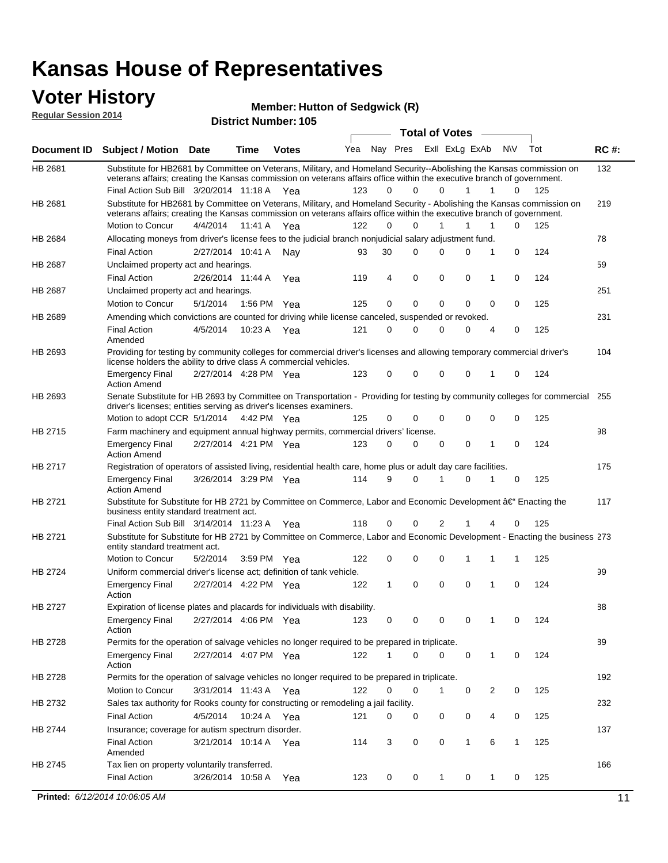### **Voter History**

**Regular Session 2014**

| <b>District Number: 105</b> |  |
|-----------------------------|--|
|                             |  |

|         |                                                                                                                                                                                                                                                                     |                       |             |              |     |              |          | <b>Total of Votes</b> |              | $\sim$         |             |     |             |
|---------|---------------------------------------------------------------------------------------------------------------------------------------------------------------------------------------------------------------------------------------------------------------------|-----------------------|-------------|--------------|-----|--------------|----------|-----------------------|--------------|----------------|-------------|-----|-------------|
|         | Document ID Subject / Motion Date                                                                                                                                                                                                                                   |                       | Time        | <b>Votes</b> | Yea | Nay Pres     |          | Exll ExLg ExAb        |              |                | N\V         | Tot | <b>RC#:</b> |
| HB 2681 | Substitute for HB2681 by Committee on Veterans, Military, and Homeland Security--Abolishing the Kansas commission on<br>veterans affairs; creating the Kansas commission on veterans affairs office within the executive branch of government.                      |                       |             |              |     |              |          |                       |              |                |             |     | 132         |
|         | Final Action Sub Bill 3/20/2014 11:18 A Yea                                                                                                                                                                                                                         |                       |             |              | 123 | 0            | $\Omega$ | $\Omega$              | $\mathbf{1}$ | $\mathbf{1}$   | 0           | 125 |             |
| HB 2681 | Substitute for HB2681 by Committee on Veterans, Military, and Homeland Security - Abolishing the Kansas commission on<br>veterans affairs; creating the Kansas commission on veterans affairs office within the executive branch of government.<br>Motion to Concur | 4/4/2014 11:41 A Yea  |             |              | 122 | 0            | 0        |                       | 1            | 1              | 0           | 125 | 219         |
| HB 2684 | Allocating moneys from driver's license fees to the judicial branch nonjudicial salary adjustment fund.                                                                                                                                                             |                       |             |              |     |              |          |                       |              |                |             |     | 78          |
|         | <b>Final Action</b>                                                                                                                                                                                                                                                 | 2/27/2014 10:41 A Nay |             |              |     | 30           | $\Omega$ | $\Omega$              | $\Omega$     | 1              | 0           | 124 |             |
|         |                                                                                                                                                                                                                                                                     |                       |             |              | 93  |              |          |                       |              |                |             |     |             |
| HB 2687 | Unclaimed property act and hearings.                                                                                                                                                                                                                                |                       |             |              |     |              | 0        |                       | 0            |                |             |     | 59          |
|         | <b>Final Action</b>                                                                                                                                                                                                                                                 | 2/26/2014 11:44 A     |             | Yea          | 119 | 4            |          | 0                     |              | 1              | 0           | 124 |             |
| HB 2687 | Unclaimed property act and hearings.                                                                                                                                                                                                                                |                       |             |              |     |              |          |                       | $\mathbf{0}$ |                |             |     | 251         |
|         | Motion to Concur                                                                                                                                                                                                                                                    | 5/1/2014              | 1:56 PM Yea |              | 125 | 0            | 0        | 0                     |              | 0              | 0           | 125 |             |
| HB 2689 | Amending which convictions are counted for driving while license canceled, suspended or revoked.                                                                                                                                                                    |                       |             |              |     |              |          |                       |              |                |             |     | 231         |
|         | <b>Final Action</b><br>Amended                                                                                                                                                                                                                                      | 4/5/2014              | 10:23 A Yea |              | 121 | 0            | 0        | $\Omega$              | 0            | $\overline{4}$ | 0           | 125 |             |
| HB 2693 | Providing for testing by community colleges for commercial driver's licenses and allowing temporary commercial driver's<br>license holders the ability to drive class A commercial vehicles.                                                                        |                       |             |              |     |              |          |                       |              |                |             |     | 104         |
|         | <b>Emergency Final</b><br><b>Action Amend</b>                                                                                                                                                                                                                       | 2/27/2014 4:28 PM Yea |             |              | 123 | 0            | 0        | 0                     | 0            | 1              | 0           | 124 |             |
| HB 2693 | Senate Substitute for HB 2693 by Committee on Transportation - Providing for testing by community colleges for commercial<br>driver's licenses; entities serving as driver's licenses examiners.                                                                    |                       |             |              |     |              |          |                       |              |                |             |     | 255         |
|         | Motion to adopt CCR 5/1/2014 4:42 PM Yea                                                                                                                                                                                                                            |                       |             |              | 125 | 0            | 0        | $\Omega$              | 0            | $\mathbf 0$    | 0           | 125 |             |
| HB 2715 | Farm machinery and equipment annual highway permits, commercial drivers' license.                                                                                                                                                                                   |                       |             |              |     |              |          |                       |              |                |             |     | 98          |
|         | <b>Emergency Final</b><br><b>Action Amend</b>                                                                                                                                                                                                                       | 2/27/2014 4:21 PM Yea |             |              | 123 | 0            | $\Omega$ | $\Omega$              | 0            | 1              | 0           | 124 |             |
| HB 2717 | Registration of operators of assisted living, residential health care, home plus or adult day care facilities.                                                                                                                                                      |                       |             |              |     |              |          |                       |              |                |             |     | 175         |
|         | <b>Emergency Final</b><br><b>Action Amend</b>                                                                                                                                                                                                                       | 3/26/2014 3:29 PM Yea |             |              | 114 | 9            | $\Omega$ | 1                     | 0            | 1              | 0           | 125 |             |
| HB 2721 | Substitute for Substitute for HB 2721 by Committee on Commerce, Labor and Economic Development â€ <sup>4</sup> Enacting the<br>business entity standard treatment act.                                                                                              |                       |             |              |     |              |          |                       |              |                |             |     | 117         |
|         | Final Action Sub Bill 3/14/2014 11:23 A Yea                                                                                                                                                                                                                         |                       |             |              | 118 | 0            | 0        | 2                     | 1            | 4              | 0           | 125 |             |
| HB 2721 | Substitute for Substitute for HB 2721 by Committee on Commerce, Labor and Economic Development - Enacting the business 273<br>entity standard treatment act.                                                                                                        |                       |             |              |     |              |          |                       |              |                |             |     |             |
|         | Motion to Concur                                                                                                                                                                                                                                                    | 5/2/2014              | 3:59 PM Yea |              | 122 | 0            | 0        | 0                     | 1            | 1              | 1           | 125 |             |
| HB 2724 | Uniform commercial driver's license act; definition of tank vehicle.                                                                                                                                                                                                |                       |             |              |     |              |          |                       |              |                |             |     | 99          |
|         | <b>Emergency Final</b><br>Action                                                                                                                                                                                                                                    | 2/27/2014 4:22 PM Yea |             |              | 122 | $\mathbf{1}$ | 0        | 0                     | 0            | 1              | $\mathbf 0$ | 124 |             |
| HB 2727 | Expiration of license plates and placards for individuals with disability.                                                                                                                                                                                          |                       |             |              |     |              |          |                       |              |                |             |     | 88          |
|         | <b>Emergency Final</b><br>Action                                                                                                                                                                                                                                    | 2/27/2014 4:06 PM Yea |             |              | 123 | 0            | 0        | 0                     | 0            | $\mathbf{1}$   | 0           | 124 |             |
| HB 2728 | Permits for the operation of salvage vehicles no longer required to be prepared in triplicate.                                                                                                                                                                      |                       |             |              |     |              |          |                       |              |                |             |     | 89          |
|         | <b>Emergency Final</b><br>Action                                                                                                                                                                                                                                    | 2/27/2014 4:07 PM Yea |             |              | 122 | 1            | 0        | 0                     | 0            | 1              | 0           | 124 |             |
| HB 2728 | Permits for the operation of salvage vehicles no longer required to be prepared in triplicate.                                                                                                                                                                      |                       |             |              |     |              |          |                       |              |                |             |     | 192         |
|         | Motion to Concur                                                                                                                                                                                                                                                    | 3/31/2014 11:43 A Yea |             |              | 122 | 0            | 0        | 1                     | 0            | 2              | 0           | 125 |             |
| HB 2732 | Sales tax authority for Rooks county for constructing or remodeling a jail facility.                                                                                                                                                                                |                       |             |              |     |              |          |                       |              |                |             |     | 232         |
|         | <b>Final Action</b>                                                                                                                                                                                                                                                 | 4/5/2014 10:24 A Yea  |             |              | 121 | 0            | 0        | 0                     | 0            | 4              | 0           | 125 |             |
| HB 2744 | Insurance; coverage for autism spectrum disorder.                                                                                                                                                                                                                   |                       |             |              |     |              |          |                       |              |                |             |     | 137         |
|         | <b>Final Action</b><br>Amended                                                                                                                                                                                                                                      | 3/21/2014 10:14 A Yea |             |              | 114 | 3            | 0        | 0                     | $\mathbf{1}$ | 6              | 1           | 125 |             |
| HB 2745 | Tax lien on property voluntarily transferred.                                                                                                                                                                                                                       |                       |             |              |     |              |          |                       |              |                |             |     | 166         |
|         | <b>Final Action</b>                                                                                                                                                                                                                                                 | 3/26/2014 10:58 A     |             | Yea          | 123 | 0            | 0        | 1                     | 0            | 1              | 0           | 125 |             |
|         | Printed: 6/12/2014 10:06:05 AM                                                                                                                                                                                                                                      |                       |             |              |     |              |          |                       |              |                |             |     | 11          |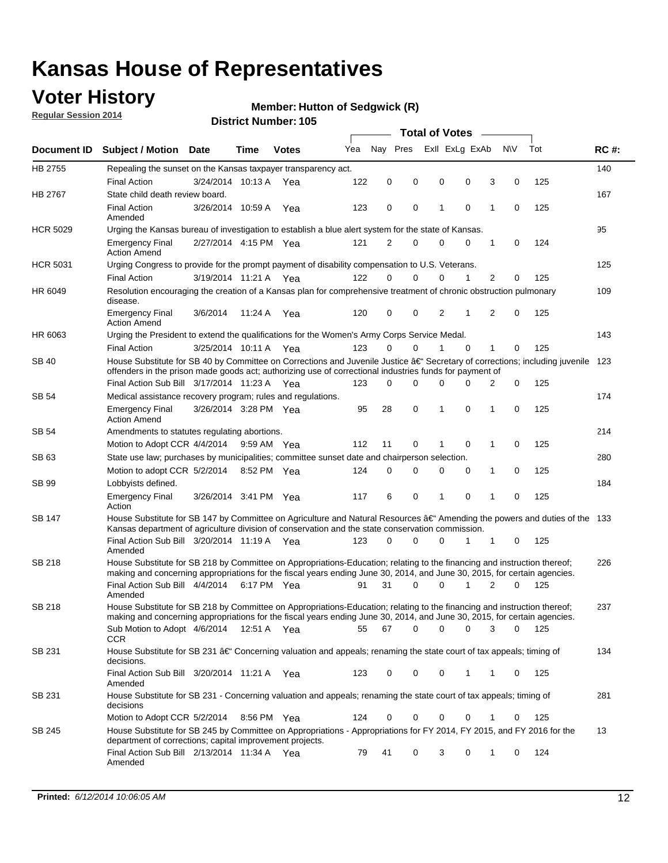### **Voter History**

**Regular Session 2014**

#### **Member: Hutton of Sedgwick (R)**

| Nay Pres<br>Exll ExLg ExAb<br><b>NV</b><br>Tot<br>Yea<br><b>RC#:</b><br><b>Votes</b><br><b>Document ID</b><br><b>Subject / Motion</b><br><b>Date</b><br>Time<br>HB 2755<br>140<br>Repealing the sunset on the Kansas taxpayer transparency act.<br><b>Final Action</b><br>3/24/2014 10:13 A<br>122<br>0<br>0<br>0<br>0<br>3<br>0<br>125<br>Yea<br>HB 2767<br>State child death review board.<br>167<br>$\mathbf 0$<br>0<br>0<br>125<br><b>Final Action</b><br>3/26/2014 10:59 A<br>123<br>1<br>1<br>0<br>Yea<br>Amended<br>95<br><b>HCR 5029</b><br>Urging the Kansas bureau of investigation to establish a blue alert system for the state of Kansas.<br>2<br>0<br>1<br>0<br>124<br><b>Emergency Final</b><br>2/27/2014 4:15 PM Yea<br>121<br>0<br>0<br><b>Action Amend</b><br>125<br><b>HCR 5031</b><br>Urging Congress to provide for the prompt payment of disability compensation to U.S. Veterans.<br><b>Final Action</b><br>122<br>$\Omega$<br>0<br>0<br>1<br>2<br>125<br>3/19/2014 11:21 A Yea<br>0<br>109<br>HR 6049<br>Resolution encouraging the creation of a Kansas plan for comprehensive treatment of chronic obstruction pulmonary<br>disease.<br>0<br>0<br>2<br>2<br>0<br>125<br><b>Emergency Final</b><br>3/6/2014<br>11:24 A<br>Yea<br>120<br>1<br><b>Action Amend</b><br>HR 6063<br>143<br>Urging the President to extend the qualifications for the Women's Army Corps Service Medal.<br>123<br>$\Omega$<br>$\Omega$<br>$\Omega$<br>1<br>125<br><b>Final Action</b><br>3/25/2014 10:11 A Yea<br>1<br>0<br>House Substitute for SB 40 by Committee on Corrections and Juvenile Justice †Secretary of corrections; including juvenile<br>SB 40<br>123<br>offenders in the prison made goods act; authorizing use of correctional industries funds for payment of<br>Final Action Sub Bill 3/17/2014 11:23 A Yea<br>0<br>125<br>123<br>0<br>0<br>0<br>0<br>2<br>174<br>SB 54<br>Medical assistance recovery program; rules and regulations.<br>28<br>0<br>0<br>125<br>3/26/2014 3:28 PM Yea<br>95<br>1<br>1<br>$\mathbf 0$<br><b>Emergency Final</b><br><b>Action Amend</b><br><b>SB 54</b><br>214<br>Amendments to statutes regulating abortions.<br>Motion to Adopt CCR 4/4/2014<br>112<br>11<br>0<br>0<br>1<br>0<br>125<br>9:59 AM Yea<br>1<br>State use law; purchases by municipalities; committee sunset date and chairperson selection.<br>280<br>SB 63<br>Motion to adopt CCR 5/2/2014<br>124<br>$\mathbf 0$<br>0<br>0<br>0<br>1<br>0<br>125<br>8:52 PM Yea<br><b>SB 99</b><br>184<br>Lobbyists defined.<br>117<br>6<br>0<br>0<br>1<br>0<br>125<br><b>Emergency Final</b><br>3/26/2014 3:41 PM Yea<br>1<br>Action<br>House Substitute for SB 147 by Committee on Agriculture and Natural Resources †Amending the powers and duties of the 133<br>SB 147<br>Kansas department of agriculture division of conservation and the state conservation commission.<br>Final Action Sub Bill 3/20/2014 11:19 A Yea<br>0<br>125<br>123<br>0<br>0<br>1<br>1<br>0<br>Amended<br><b>SB 218</b><br>House Substitute for SB 218 by Committee on Appropriations-Education; relating to the financing and instruction thereof;<br>226<br>making and concerning appropriations for the fiscal years ending June 30, 2014, and June 30, 2015, for certain agencies.<br>Final Action Sub Bill 4/4/2014 6:17 PM Yea<br>31<br>0<br>0<br>2<br>0<br>125<br>91<br>1<br>Amended<br><b>SB 218</b><br>House Substitute for SB 218 by Committee on Appropriations-Education; relating to the financing and instruction thereof;<br>237<br>making and concerning appropriations for the fiscal years ending June 30, 2014, and June 30, 2015, for certain agencies.<br>Sub Motion to Adopt 4/6/2014 12:51 A Yea<br>55<br>67<br>0<br>0<br>0<br>125<br>0<br>3<br><b>CCR</b><br>SB 231<br>House Substitute for SB 231 †Concerning valuation and appeals; renaming the state court of tax appeals; timing of<br>134<br>decisions.<br>0<br>Final Action Sub Bill 3/20/2014 11:21 A Yea<br>123<br>0<br>0<br>1<br>1<br>0<br>125<br>Amended<br>SB 231<br>House Substitute for SB 231 - Concerning valuation and appeals; renaming the state court of tax appeals; timing of<br>281<br>decisions<br>125<br>Motion to Adopt CCR 5/2/2014 8:56 PM Yea<br>124<br>0<br>0<br>0<br>0<br>0<br>1<br>House Substitute for SB 245 by Committee on Appropriations - Appropriations for FY 2014, FY 2015, and FY 2016 for the<br>13<br>SB 245<br>department of corrections; capital improvement projects.<br>Final Action Sub Bill 2/13/2014 11:34 A Yea<br>0<br>3<br>124<br>79<br>41<br>$\mathbf 0$<br>1<br>0<br>Amended |  |  |  | <b>Total of Votes</b> |  |  |  |  |  |  |  |  |
|----------------------------------------------------------------------------------------------------------------------------------------------------------------------------------------------------------------------------------------------------------------------------------------------------------------------------------------------------------------------------------------------------------------------------------------------------------------------------------------------------------------------------------------------------------------------------------------------------------------------------------------------------------------------------------------------------------------------------------------------------------------------------------------------------------------------------------------------------------------------------------------------------------------------------------------------------------------------------------------------------------------------------------------------------------------------------------------------------------------------------------------------------------------------------------------------------------------------------------------------------------------------------------------------------------------------------------------------------------------------------------------------------------------------------------------------------------------------------------------------------------------------------------------------------------------------------------------------------------------------------------------------------------------------------------------------------------------------------------------------------------------------------------------------------------------------------------------------------------------------------------------------------------------------------------------------------------------------------------------------------------------------------------------------------------------------------------------------------------------------------------------------------------------------------------------------------------------------------------------------------------------------------------------------------------------------------------------------------------------------------------------------------------------------------------------------------------------------------------------------------------------------------------------------------------------------------------------------------------------------------------------------------------------------------------------------------------------------------------------------------------------------------------------------------------------------------------------------------------------------------------------------------------------------------------------------------------------------------------------------------------------------------------------------------------------------------------------------------------------------------------------------------------------------------------------------------------------------------------------------------------------------------------------------------------------------------------------------------------------------------------------------------------------------------------------------------------------------------------------------------------------------------------------------------------------------------------------------------------------------------------------------------------------------------------------------------------------------------------------------------------------------------------------------------------------------------------------------------------------------------------------------------------------------------------------------------------------------------------------------------------------------------------------------------------------------------------------------------------------------------------------------------------------------------------------------------------------------------------------------------------------------------------------------------------------------------------------------------------------------------------------------------------------------------------------------------------------------------------------------------------------------------------------------------------------------------------------------------|--|--|--|-----------------------|--|--|--|--|--|--|--|--|
|                                                                                                                                                                                                                                                                                                                                                                                                                                                                                                                                                                                                                                                                                                                                                                                                                                                                                                                                                                                                                                                                                                                                                                                                                                                                                                                                                                                                                                                                                                                                                                                                                                                                                                                                                                                                                                                                                                                                                                                                                                                                                                                                                                                                                                                                                                                                                                                                                                                                                                                                                                                                                                                                                                                                                                                                                                                                                                                                                                                                                                                                                                                                                                                                                                                                                                                                                                                                                                                                                                                                                                                                                                                                                                                                                                                                                                                                                                                                                                                                                                                                                                                                                                                                                                                                                                                                                                                                                                                                                                                                                                                                    |  |  |  |                       |  |  |  |  |  |  |  |  |
|                                                                                                                                                                                                                                                                                                                                                                                                                                                                                                                                                                                                                                                                                                                                                                                                                                                                                                                                                                                                                                                                                                                                                                                                                                                                                                                                                                                                                                                                                                                                                                                                                                                                                                                                                                                                                                                                                                                                                                                                                                                                                                                                                                                                                                                                                                                                                                                                                                                                                                                                                                                                                                                                                                                                                                                                                                                                                                                                                                                                                                                                                                                                                                                                                                                                                                                                                                                                                                                                                                                                                                                                                                                                                                                                                                                                                                                                                                                                                                                                                                                                                                                                                                                                                                                                                                                                                                                                                                                                                                                                                                                                    |  |  |  |                       |  |  |  |  |  |  |  |  |
|                                                                                                                                                                                                                                                                                                                                                                                                                                                                                                                                                                                                                                                                                                                                                                                                                                                                                                                                                                                                                                                                                                                                                                                                                                                                                                                                                                                                                                                                                                                                                                                                                                                                                                                                                                                                                                                                                                                                                                                                                                                                                                                                                                                                                                                                                                                                                                                                                                                                                                                                                                                                                                                                                                                                                                                                                                                                                                                                                                                                                                                                                                                                                                                                                                                                                                                                                                                                                                                                                                                                                                                                                                                                                                                                                                                                                                                                                                                                                                                                                                                                                                                                                                                                                                                                                                                                                                                                                                                                                                                                                                                                    |  |  |  |                       |  |  |  |  |  |  |  |  |
|                                                                                                                                                                                                                                                                                                                                                                                                                                                                                                                                                                                                                                                                                                                                                                                                                                                                                                                                                                                                                                                                                                                                                                                                                                                                                                                                                                                                                                                                                                                                                                                                                                                                                                                                                                                                                                                                                                                                                                                                                                                                                                                                                                                                                                                                                                                                                                                                                                                                                                                                                                                                                                                                                                                                                                                                                                                                                                                                                                                                                                                                                                                                                                                                                                                                                                                                                                                                                                                                                                                                                                                                                                                                                                                                                                                                                                                                                                                                                                                                                                                                                                                                                                                                                                                                                                                                                                                                                                                                                                                                                                                                    |  |  |  |                       |  |  |  |  |  |  |  |  |
|                                                                                                                                                                                                                                                                                                                                                                                                                                                                                                                                                                                                                                                                                                                                                                                                                                                                                                                                                                                                                                                                                                                                                                                                                                                                                                                                                                                                                                                                                                                                                                                                                                                                                                                                                                                                                                                                                                                                                                                                                                                                                                                                                                                                                                                                                                                                                                                                                                                                                                                                                                                                                                                                                                                                                                                                                                                                                                                                                                                                                                                                                                                                                                                                                                                                                                                                                                                                                                                                                                                                                                                                                                                                                                                                                                                                                                                                                                                                                                                                                                                                                                                                                                                                                                                                                                                                                                                                                                                                                                                                                                                                    |  |  |  |                       |  |  |  |  |  |  |  |  |
|                                                                                                                                                                                                                                                                                                                                                                                                                                                                                                                                                                                                                                                                                                                                                                                                                                                                                                                                                                                                                                                                                                                                                                                                                                                                                                                                                                                                                                                                                                                                                                                                                                                                                                                                                                                                                                                                                                                                                                                                                                                                                                                                                                                                                                                                                                                                                                                                                                                                                                                                                                                                                                                                                                                                                                                                                                                                                                                                                                                                                                                                                                                                                                                                                                                                                                                                                                                                                                                                                                                                                                                                                                                                                                                                                                                                                                                                                                                                                                                                                                                                                                                                                                                                                                                                                                                                                                                                                                                                                                                                                                                                    |  |  |  |                       |  |  |  |  |  |  |  |  |
|                                                                                                                                                                                                                                                                                                                                                                                                                                                                                                                                                                                                                                                                                                                                                                                                                                                                                                                                                                                                                                                                                                                                                                                                                                                                                                                                                                                                                                                                                                                                                                                                                                                                                                                                                                                                                                                                                                                                                                                                                                                                                                                                                                                                                                                                                                                                                                                                                                                                                                                                                                                                                                                                                                                                                                                                                                                                                                                                                                                                                                                                                                                                                                                                                                                                                                                                                                                                                                                                                                                                                                                                                                                                                                                                                                                                                                                                                                                                                                                                                                                                                                                                                                                                                                                                                                                                                                                                                                                                                                                                                                                                    |  |  |  |                       |  |  |  |  |  |  |  |  |
|                                                                                                                                                                                                                                                                                                                                                                                                                                                                                                                                                                                                                                                                                                                                                                                                                                                                                                                                                                                                                                                                                                                                                                                                                                                                                                                                                                                                                                                                                                                                                                                                                                                                                                                                                                                                                                                                                                                                                                                                                                                                                                                                                                                                                                                                                                                                                                                                                                                                                                                                                                                                                                                                                                                                                                                                                                                                                                                                                                                                                                                                                                                                                                                                                                                                                                                                                                                                                                                                                                                                                                                                                                                                                                                                                                                                                                                                                                                                                                                                                                                                                                                                                                                                                                                                                                                                                                                                                                                                                                                                                                                                    |  |  |  |                       |  |  |  |  |  |  |  |  |
|                                                                                                                                                                                                                                                                                                                                                                                                                                                                                                                                                                                                                                                                                                                                                                                                                                                                                                                                                                                                                                                                                                                                                                                                                                                                                                                                                                                                                                                                                                                                                                                                                                                                                                                                                                                                                                                                                                                                                                                                                                                                                                                                                                                                                                                                                                                                                                                                                                                                                                                                                                                                                                                                                                                                                                                                                                                                                                                                                                                                                                                                                                                                                                                                                                                                                                                                                                                                                                                                                                                                                                                                                                                                                                                                                                                                                                                                                                                                                                                                                                                                                                                                                                                                                                                                                                                                                                                                                                                                                                                                                                                                    |  |  |  |                       |  |  |  |  |  |  |  |  |
|                                                                                                                                                                                                                                                                                                                                                                                                                                                                                                                                                                                                                                                                                                                                                                                                                                                                                                                                                                                                                                                                                                                                                                                                                                                                                                                                                                                                                                                                                                                                                                                                                                                                                                                                                                                                                                                                                                                                                                                                                                                                                                                                                                                                                                                                                                                                                                                                                                                                                                                                                                                                                                                                                                                                                                                                                                                                                                                                                                                                                                                                                                                                                                                                                                                                                                                                                                                                                                                                                                                                                                                                                                                                                                                                                                                                                                                                                                                                                                                                                                                                                                                                                                                                                                                                                                                                                                                                                                                                                                                                                                                                    |  |  |  |                       |  |  |  |  |  |  |  |  |
|                                                                                                                                                                                                                                                                                                                                                                                                                                                                                                                                                                                                                                                                                                                                                                                                                                                                                                                                                                                                                                                                                                                                                                                                                                                                                                                                                                                                                                                                                                                                                                                                                                                                                                                                                                                                                                                                                                                                                                                                                                                                                                                                                                                                                                                                                                                                                                                                                                                                                                                                                                                                                                                                                                                                                                                                                                                                                                                                                                                                                                                                                                                                                                                                                                                                                                                                                                                                                                                                                                                                                                                                                                                                                                                                                                                                                                                                                                                                                                                                                                                                                                                                                                                                                                                                                                                                                                                                                                                                                                                                                                                                    |  |  |  |                       |  |  |  |  |  |  |  |  |
|                                                                                                                                                                                                                                                                                                                                                                                                                                                                                                                                                                                                                                                                                                                                                                                                                                                                                                                                                                                                                                                                                                                                                                                                                                                                                                                                                                                                                                                                                                                                                                                                                                                                                                                                                                                                                                                                                                                                                                                                                                                                                                                                                                                                                                                                                                                                                                                                                                                                                                                                                                                                                                                                                                                                                                                                                                                                                                                                                                                                                                                                                                                                                                                                                                                                                                                                                                                                                                                                                                                                                                                                                                                                                                                                                                                                                                                                                                                                                                                                                                                                                                                                                                                                                                                                                                                                                                                                                                                                                                                                                                                                    |  |  |  |                       |  |  |  |  |  |  |  |  |
|                                                                                                                                                                                                                                                                                                                                                                                                                                                                                                                                                                                                                                                                                                                                                                                                                                                                                                                                                                                                                                                                                                                                                                                                                                                                                                                                                                                                                                                                                                                                                                                                                                                                                                                                                                                                                                                                                                                                                                                                                                                                                                                                                                                                                                                                                                                                                                                                                                                                                                                                                                                                                                                                                                                                                                                                                                                                                                                                                                                                                                                                                                                                                                                                                                                                                                                                                                                                                                                                                                                                                                                                                                                                                                                                                                                                                                                                                                                                                                                                                                                                                                                                                                                                                                                                                                                                                                                                                                                                                                                                                                                                    |  |  |  |                       |  |  |  |  |  |  |  |  |
|                                                                                                                                                                                                                                                                                                                                                                                                                                                                                                                                                                                                                                                                                                                                                                                                                                                                                                                                                                                                                                                                                                                                                                                                                                                                                                                                                                                                                                                                                                                                                                                                                                                                                                                                                                                                                                                                                                                                                                                                                                                                                                                                                                                                                                                                                                                                                                                                                                                                                                                                                                                                                                                                                                                                                                                                                                                                                                                                                                                                                                                                                                                                                                                                                                                                                                                                                                                                                                                                                                                                                                                                                                                                                                                                                                                                                                                                                                                                                                                                                                                                                                                                                                                                                                                                                                                                                                                                                                                                                                                                                                                                    |  |  |  |                       |  |  |  |  |  |  |  |  |
|                                                                                                                                                                                                                                                                                                                                                                                                                                                                                                                                                                                                                                                                                                                                                                                                                                                                                                                                                                                                                                                                                                                                                                                                                                                                                                                                                                                                                                                                                                                                                                                                                                                                                                                                                                                                                                                                                                                                                                                                                                                                                                                                                                                                                                                                                                                                                                                                                                                                                                                                                                                                                                                                                                                                                                                                                                                                                                                                                                                                                                                                                                                                                                                                                                                                                                                                                                                                                                                                                                                                                                                                                                                                                                                                                                                                                                                                                                                                                                                                                                                                                                                                                                                                                                                                                                                                                                                                                                                                                                                                                                                                    |  |  |  |                       |  |  |  |  |  |  |  |  |
|                                                                                                                                                                                                                                                                                                                                                                                                                                                                                                                                                                                                                                                                                                                                                                                                                                                                                                                                                                                                                                                                                                                                                                                                                                                                                                                                                                                                                                                                                                                                                                                                                                                                                                                                                                                                                                                                                                                                                                                                                                                                                                                                                                                                                                                                                                                                                                                                                                                                                                                                                                                                                                                                                                                                                                                                                                                                                                                                                                                                                                                                                                                                                                                                                                                                                                                                                                                                                                                                                                                                                                                                                                                                                                                                                                                                                                                                                                                                                                                                                                                                                                                                                                                                                                                                                                                                                                                                                                                                                                                                                                                                    |  |  |  |                       |  |  |  |  |  |  |  |  |
|                                                                                                                                                                                                                                                                                                                                                                                                                                                                                                                                                                                                                                                                                                                                                                                                                                                                                                                                                                                                                                                                                                                                                                                                                                                                                                                                                                                                                                                                                                                                                                                                                                                                                                                                                                                                                                                                                                                                                                                                                                                                                                                                                                                                                                                                                                                                                                                                                                                                                                                                                                                                                                                                                                                                                                                                                                                                                                                                                                                                                                                                                                                                                                                                                                                                                                                                                                                                                                                                                                                                                                                                                                                                                                                                                                                                                                                                                                                                                                                                                                                                                                                                                                                                                                                                                                                                                                                                                                                                                                                                                                                                    |  |  |  |                       |  |  |  |  |  |  |  |  |
|                                                                                                                                                                                                                                                                                                                                                                                                                                                                                                                                                                                                                                                                                                                                                                                                                                                                                                                                                                                                                                                                                                                                                                                                                                                                                                                                                                                                                                                                                                                                                                                                                                                                                                                                                                                                                                                                                                                                                                                                                                                                                                                                                                                                                                                                                                                                                                                                                                                                                                                                                                                                                                                                                                                                                                                                                                                                                                                                                                                                                                                                                                                                                                                                                                                                                                                                                                                                                                                                                                                                                                                                                                                                                                                                                                                                                                                                                                                                                                                                                                                                                                                                                                                                                                                                                                                                                                                                                                                                                                                                                                                                    |  |  |  |                       |  |  |  |  |  |  |  |  |
|                                                                                                                                                                                                                                                                                                                                                                                                                                                                                                                                                                                                                                                                                                                                                                                                                                                                                                                                                                                                                                                                                                                                                                                                                                                                                                                                                                                                                                                                                                                                                                                                                                                                                                                                                                                                                                                                                                                                                                                                                                                                                                                                                                                                                                                                                                                                                                                                                                                                                                                                                                                                                                                                                                                                                                                                                                                                                                                                                                                                                                                                                                                                                                                                                                                                                                                                                                                                                                                                                                                                                                                                                                                                                                                                                                                                                                                                                                                                                                                                                                                                                                                                                                                                                                                                                                                                                                                                                                                                                                                                                                                                    |  |  |  |                       |  |  |  |  |  |  |  |  |
|                                                                                                                                                                                                                                                                                                                                                                                                                                                                                                                                                                                                                                                                                                                                                                                                                                                                                                                                                                                                                                                                                                                                                                                                                                                                                                                                                                                                                                                                                                                                                                                                                                                                                                                                                                                                                                                                                                                                                                                                                                                                                                                                                                                                                                                                                                                                                                                                                                                                                                                                                                                                                                                                                                                                                                                                                                                                                                                                                                                                                                                                                                                                                                                                                                                                                                                                                                                                                                                                                                                                                                                                                                                                                                                                                                                                                                                                                                                                                                                                                                                                                                                                                                                                                                                                                                                                                                                                                                                                                                                                                                                                    |  |  |  |                       |  |  |  |  |  |  |  |  |
|                                                                                                                                                                                                                                                                                                                                                                                                                                                                                                                                                                                                                                                                                                                                                                                                                                                                                                                                                                                                                                                                                                                                                                                                                                                                                                                                                                                                                                                                                                                                                                                                                                                                                                                                                                                                                                                                                                                                                                                                                                                                                                                                                                                                                                                                                                                                                                                                                                                                                                                                                                                                                                                                                                                                                                                                                                                                                                                                                                                                                                                                                                                                                                                                                                                                                                                                                                                                                                                                                                                                                                                                                                                                                                                                                                                                                                                                                                                                                                                                                                                                                                                                                                                                                                                                                                                                                                                                                                                                                                                                                                                                    |  |  |  |                       |  |  |  |  |  |  |  |  |
|                                                                                                                                                                                                                                                                                                                                                                                                                                                                                                                                                                                                                                                                                                                                                                                                                                                                                                                                                                                                                                                                                                                                                                                                                                                                                                                                                                                                                                                                                                                                                                                                                                                                                                                                                                                                                                                                                                                                                                                                                                                                                                                                                                                                                                                                                                                                                                                                                                                                                                                                                                                                                                                                                                                                                                                                                                                                                                                                                                                                                                                                                                                                                                                                                                                                                                                                                                                                                                                                                                                                                                                                                                                                                                                                                                                                                                                                                                                                                                                                                                                                                                                                                                                                                                                                                                                                                                                                                                                                                                                                                                                                    |  |  |  |                       |  |  |  |  |  |  |  |  |
|                                                                                                                                                                                                                                                                                                                                                                                                                                                                                                                                                                                                                                                                                                                                                                                                                                                                                                                                                                                                                                                                                                                                                                                                                                                                                                                                                                                                                                                                                                                                                                                                                                                                                                                                                                                                                                                                                                                                                                                                                                                                                                                                                                                                                                                                                                                                                                                                                                                                                                                                                                                                                                                                                                                                                                                                                                                                                                                                                                                                                                                                                                                                                                                                                                                                                                                                                                                                                                                                                                                                                                                                                                                                                                                                                                                                                                                                                                                                                                                                                                                                                                                                                                                                                                                                                                                                                                                                                                                                                                                                                                                                    |  |  |  |                       |  |  |  |  |  |  |  |  |
|                                                                                                                                                                                                                                                                                                                                                                                                                                                                                                                                                                                                                                                                                                                                                                                                                                                                                                                                                                                                                                                                                                                                                                                                                                                                                                                                                                                                                                                                                                                                                                                                                                                                                                                                                                                                                                                                                                                                                                                                                                                                                                                                                                                                                                                                                                                                                                                                                                                                                                                                                                                                                                                                                                                                                                                                                                                                                                                                                                                                                                                                                                                                                                                                                                                                                                                                                                                                                                                                                                                                                                                                                                                                                                                                                                                                                                                                                                                                                                                                                                                                                                                                                                                                                                                                                                                                                                                                                                                                                                                                                                                                    |  |  |  |                       |  |  |  |  |  |  |  |  |
|                                                                                                                                                                                                                                                                                                                                                                                                                                                                                                                                                                                                                                                                                                                                                                                                                                                                                                                                                                                                                                                                                                                                                                                                                                                                                                                                                                                                                                                                                                                                                                                                                                                                                                                                                                                                                                                                                                                                                                                                                                                                                                                                                                                                                                                                                                                                                                                                                                                                                                                                                                                                                                                                                                                                                                                                                                                                                                                                                                                                                                                                                                                                                                                                                                                                                                                                                                                                                                                                                                                                                                                                                                                                                                                                                                                                                                                                                                                                                                                                                                                                                                                                                                                                                                                                                                                                                                                                                                                                                                                                                                                                    |  |  |  |                       |  |  |  |  |  |  |  |  |
|                                                                                                                                                                                                                                                                                                                                                                                                                                                                                                                                                                                                                                                                                                                                                                                                                                                                                                                                                                                                                                                                                                                                                                                                                                                                                                                                                                                                                                                                                                                                                                                                                                                                                                                                                                                                                                                                                                                                                                                                                                                                                                                                                                                                                                                                                                                                                                                                                                                                                                                                                                                                                                                                                                                                                                                                                                                                                                                                                                                                                                                                                                                                                                                                                                                                                                                                                                                                                                                                                                                                                                                                                                                                                                                                                                                                                                                                                                                                                                                                                                                                                                                                                                                                                                                                                                                                                                                                                                                                                                                                                                                                    |  |  |  |                       |  |  |  |  |  |  |  |  |
|                                                                                                                                                                                                                                                                                                                                                                                                                                                                                                                                                                                                                                                                                                                                                                                                                                                                                                                                                                                                                                                                                                                                                                                                                                                                                                                                                                                                                                                                                                                                                                                                                                                                                                                                                                                                                                                                                                                                                                                                                                                                                                                                                                                                                                                                                                                                                                                                                                                                                                                                                                                                                                                                                                                                                                                                                                                                                                                                                                                                                                                                                                                                                                                                                                                                                                                                                                                                                                                                                                                                                                                                                                                                                                                                                                                                                                                                                                                                                                                                                                                                                                                                                                                                                                                                                                                                                                                                                                                                                                                                                                                                    |  |  |  |                       |  |  |  |  |  |  |  |  |
|                                                                                                                                                                                                                                                                                                                                                                                                                                                                                                                                                                                                                                                                                                                                                                                                                                                                                                                                                                                                                                                                                                                                                                                                                                                                                                                                                                                                                                                                                                                                                                                                                                                                                                                                                                                                                                                                                                                                                                                                                                                                                                                                                                                                                                                                                                                                                                                                                                                                                                                                                                                                                                                                                                                                                                                                                                                                                                                                                                                                                                                                                                                                                                                                                                                                                                                                                                                                                                                                                                                                                                                                                                                                                                                                                                                                                                                                                                                                                                                                                                                                                                                                                                                                                                                                                                                                                                                                                                                                                                                                                                                                    |  |  |  |                       |  |  |  |  |  |  |  |  |
|                                                                                                                                                                                                                                                                                                                                                                                                                                                                                                                                                                                                                                                                                                                                                                                                                                                                                                                                                                                                                                                                                                                                                                                                                                                                                                                                                                                                                                                                                                                                                                                                                                                                                                                                                                                                                                                                                                                                                                                                                                                                                                                                                                                                                                                                                                                                                                                                                                                                                                                                                                                                                                                                                                                                                                                                                                                                                                                                                                                                                                                                                                                                                                                                                                                                                                                                                                                                                                                                                                                                                                                                                                                                                                                                                                                                                                                                                                                                                                                                                                                                                                                                                                                                                                                                                                                                                                                                                                                                                                                                                                                                    |  |  |  |                       |  |  |  |  |  |  |  |  |
|                                                                                                                                                                                                                                                                                                                                                                                                                                                                                                                                                                                                                                                                                                                                                                                                                                                                                                                                                                                                                                                                                                                                                                                                                                                                                                                                                                                                                                                                                                                                                                                                                                                                                                                                                                                                                                                                                                                                                                                                                                                                                                                                                                                                                                                                                                                                                                                                                                                                                                                                                                                                                                                                                                                                                                                                                                                                                                                                                                                                                                                                                                                                                                                                                                                                                                                                                                                                                                                                                                                                                                                                                                                                                                                                                                                                                                                                                                                                                                                                                                                                                                                                                                                                                                                                                                                                                                                                                                                                                                                                                                                                    |  |  |  |                       |  |  |  |  |  |  |  |  |
|                                                                                                                                                                                                                                                                                                                                                                                                                                                                                                                                                                                                                                                                                                                                                                                                                                                                                                                                                                                                                                                                                                                                                                                                                                                                                                                                                                                                                                                                                                                                                                                                                                                                                                                                                                                                                                                                                                                                                                                                                                                                                                                                                                                                                                                                                                                                                                                                                                                                                                                                                                                                                                                                                                                                                                                                                                                                                                                                                                                                                                                                                                                                                                                                                                                                                                                                                                                                                                                                                                                                                                                                                                                                                                                                                                                                                                                                                                                                                                                                                                                                                                                                                                                                                                                                                                                                                                                                                                                                                                                                                                                                    |  |  |  |                       |  |  |  |  |  |  |  |  |
|                                                                                                                                                                                                                                                                                                                                                                                                                                                                                                                                                                                                                                                                                                                                                                                                                                                                                                                                                                                                                                                                                                                                                                                                                                                                                                                                                                                                                                                                                                                                                                                                                                                                                                                                                                                                                                                                                                                                                                                                                                                                                                                                                                                                                                                                                                                                                                                                                                                                                                                                                                                                                                                                                                                                                                                                                                                                                                                                                                                                                                                                                                                                                                                                                                                                                                                                                                                                                                                                                                                                                                                                                                                                                                                                                                                                                                                                                                                                                                                                                                                                                                                                                                                                                                                                                                                                                                                                                                                                                                                                                                                                    |  |  |  |                       |  |  |  |  |  |  |  |  |
|                                                                                                                                                                                                                                                                                                                                                                                                                                                                                                                                                                                                                                                                                                                                                                                                                                                                                                                                                                                                                                                                                                                                                                                                                                                                                                                                                                                                                                                                                                                                                                                                                                                                                                                                                                                                                                                                                                                                                                                                                                                                                                                                                                                                                                                                                                                                                                                                                                                                                                                                                                                                                                                                                                                                                                                                                                                                                                                                                                                                                                                                                                                                                                                                                                                                                                                                                                                                                                                                                                                                                                                                                                                                                                                                                                                                                                                                                                                                                                                                                                                                                                                                                                                                                                                                                                                                                                                                                                                                                                                                                                                                    |  |  |  |                       |  |  |  |  |  |  |  |  |
|                                                                                                                                                                                                                                                                                                                                                                                                                                                                                                                                                                                                                                                                                                                                                                                                                                                                                                                                                                                                                                                                                                                                                                                                                                                                                                                                                                                                                                                                                                                                                                                                                                                                                                                                                                                                                                                                                                                                                                                                                                                                                                                                                                                                                                                                                                                                                                                                                                                                                                                                                                                                                                                                                                                                                                                                                                                                                                                                                                                                                                                                                                                                                                                                                                                                                                                                                                                                                                                                                                                                                                                                                                                                                                                                                                                                                                                                                                                                                                                                                                                                                                                                                                                                                                                                                                                                                                                                                                                                                                                                                                                                    |  |  |  |                       |  |  |  |  |  |  |  |  |
|                                                                                                                                                                                                                                                                                                                                                                                                                                                                                                                                                                                                                                                                                                                                                                                                                                                                                                                                                                                                                                                                                                                                                                                                                                                                                                                                                                                                                                                                                                                                                                                                                                                                                                                                                                                                                                                                                                                                                                                                                                                                                                                                                                                                                                                                                                                                                                                                                                                                                                                                                                                                                                                                                                                                                                                                                                                                                                                                                                                                                                                                                                                                                                                                                                                                                                                                                                                                                                                                                                                                                                                                                                                                                                                                                                                                                                                                                                                                                                                                                                                                                                                                                                                                                                                                                                                                                                                                                                                                                                                                                                                                    |  |  |  |                       |  |  |  |  |  |  |  |  |
|                                                                                                                                                                                                                                                                                                                                                                                                                                                                                                                                                                                                                                                                                                                                                                                                                                                                                                                                                                                                                                                                                                                                                                                                                                                                                                                                                                                                                                                                                                                                                                                                                                                                                                                                                                                                                                                                                                                                                                                                                                                                                                                                                                                                                                                                                                                                                                                                                                                                                                                                                                                                                                                                                                                                                                                                                                                                                                                                                                                                                                                                                                                                                                                                                                                                                                                                                                                                                                                                                                                                                                                                                                                                                                                                                                                                                                                                                                                                                                                                                                                                                                                                                                                                                                                                                                                                                                                                                                                                                                                                                                                                    |  |  |  |                       |  |  |  |  |  |  |  |  |
|                                                                                                                                                                                                                                                                                                                                                                                                                                                                                                                                                                                                                                                                                                                                                                                                                                                                                                                                                                                                                                                                                                                                                                                                                                                                                                                                                                                                                                                                                                                                                                                                                                                                                                                                                                                                                                                                                                                                                                                                                                                                                                                                                                                                                                                                                                                                                                                                                                                                                                                                                                                                                                                                                                                                                                                                                                                                                                                                                                                                                                                                                                                                                                                                                                                                                                                                                                                                                                                                                                                                                                                                                                                                                                                                                                                                                                                                                                                                                                                                                                                                                                                                                                                                                                                                                                                                                                                                                                                                                                                                                                                                    |  |  |  |                       |  |  |  |  |  |  |  |  |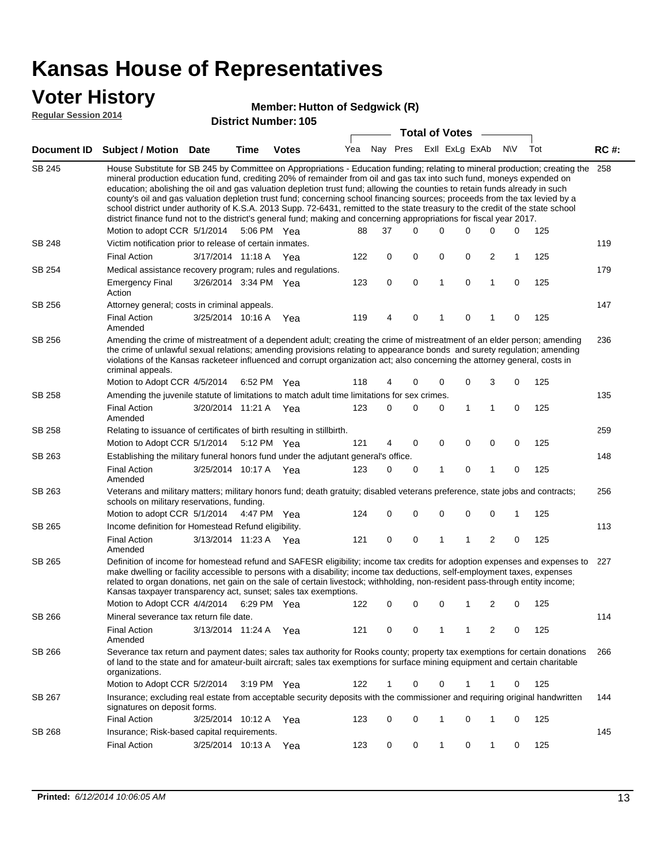### **Voter History**

#### **Member: Hutton of Sedgwick (R)**

**Regular Session 2014**

|                    |                                                                                                                                                                                                                                                                                                                                                                                                                                                                                                                                                                                                                                                                                                                                                                                                               |                       |                       | רחי יוסעוווואפו <b>דעוו</b> סו |     |    |             | <b>Total of Votes</b> |                             |   |     |     |             |
|--------------------|---------------------------------------------------------------------------------------------------------------------------------------------------------------------------------------------------------------------------------------------------------------------------------------------------------------------------------------------------------------------------------------------------------------------------------------------------------------------------------------------------------------------------------------------------------------------------------------------------------------------------------------------------------------------------------------------------------------------------------------------------------------------------------------------------------------|-----------------------|-----------------------|--------------------------------|-----|----|-------------|-----------------------|-----------------------------|---|-----|-----|-------------|
| <b>Document ID</b> | <b>Subject / Motion Date</b>                                                                                                                                                                                                                                                                                                                                                                                                                                                                                                                                                                                                                                                                                                                                                                                  |                       | <b>Time</b>           | <b>Votes</b>                   |     |    |             |                       | Yea Nay Pres ExII ExLg ExAb |   | N\V | Tot | <b>RC#:</b> |
| SB 245             | House Substitute for SB 245 by Committee on Appropriations - Education funding; relating to mineral production; creating the<br>mineral production education fund, crediting 20% of remainder from oil and gas tax into such fund, moneys expended on<br>education; abolishing the oil and gas valuation depletion trust fund; allowing the counties to retain funds already in such<br>county's oil and gas valuation depletion trust fund; concerning school financing sources; proceeds from the tax levied by a<br>school district under authority of K.S.A. 2013 Supp. 72-6431, remitted to the state treasury to the credit of the state school<br>district finance fund not to the district's general fund; making and concerning appropriations for fiscal year 2017.<br>Motion to adopt CCR 5/1/2014 |                       | 5:06 PM Yea           |                                | 88  | 37 | $\Omega$    | $\Omega$              | 0                           | 0 | 0   | 125 | 258         |
| <b>SB 248</b>      | Victim notification prior to release of certain inmates.                                                                                                                                                                                                                                                                                                                                                                                                                                                                                                                                                                                                                                                                                                                                                      |                       |                       |                                |     |    |             |                       |                             |   |     |     | 119         |
|                    | <b>Final Action</b>                                                                                                                                                                                                                                                                                                                                                                                                                                                                                                                                                                                                                                                                                                                                                                                           | 3/17/2014 11:18 A     |                       | Yea                            | 122 | 0  | 0           | 0                     | 0                           | 2 | 1   | 125 |             |
| SB 254             | Medical assistance recovery program; rules and regulations.                                                                                                                                                                                                                                                                                                                                                                                                                                                                                                                                                                                                                                                                                                                                                   |                       |                       |                                |     |    |             |                       |                             |   |     |     | 179         |
|                    | <b>Emergency Final</b><br>Action                                                                                                                                                                                                                                                                                                                                                                                                                                                                                                                                                                                                                                                                                                                                                                              | 3/26/2014 3:34 PM Yea |                       |                                | 123 | 0  | $\mathbf 0$ | $\mathbf{1}$          | 0                           | 1 | 0   | 125 |             |
| SB 256             | Attorney general; costs in criminal appeals.                                                                                                                                                                                                                                                                                                                                                                                                                                                                                                                                                                                                                                                                                                                                                                  |                       |                       |                                |     |    |             |                       |                             |   |     |     | 147         |
|                    | <b>Final Action</b><br>Amended                                                                                                                                                                                                                                                                                                                                                                                                                                                                                                                                                                                                                                                                                                                                                                                | 3/25/2014 10:16 A     |                       | Yea                            | 119 | 4  | 0           | 1                     | 0                           |   | 0   | 125 |             |
| SB 256             | Amending the crime of mistreatment of a dependent adult; creating the crime of mistreatment of an elder person; amending<br>the crime of unlawful sexual relations; amending provisions relating to appearance bonds and surety regulation; amending<br>violations of the Kansas racketeer influenced and corrupt organization act; also concerning the attorney general, costs in<br>criminal appeals.                                                                                                                                                                                                                                                                                                                                                                                                       |                       |                       |                                |     |    |             |                       |                             |   |     |     | 236         |
| <b>SB 258</b>      | Motion to Adopt CCR 4/5/2014                                                                                                                                                                                                                                                                                                                                                                                                                                                                                                                                                                                                                                                                                                                                                                                  |                       | 6:52 PM Yea           |                                | 118 | 4  | 0           | 0                     | 0                           | 3 | 0   | 125 |             |
|                    | Amending the juvenile statute of limitations to match adult time limitations for sex crimes.<br><b>Final Action</b><br>Amended                                                                                                                                                                                                                                                                                                                                                                                                                                                                                                                                                                                                                                                                                | 3/20/2014 11:21 A Yea |                       |                                | 123 | 0  | 0           | 0                     | 1                           | 1 | 0   | 125 | 135         |
| SB 258             | Relating to issuance of certificates of birth resulting in stillbirth.                                                                                                                                                                                                                                                                                                                                                                                                                                                                                                                                                                                                                                                                                                                                        |                       |                       |                                |     |    |             |                       |                             |   |     |     | 259         |
|                    | Motion to Adopt CCR 5/1/2014                                                                                                                                                                                                                                                                                                                                                                                                                                                                                                                                                                                                                                                                                                                                                                                  |                       | 5:12 PM Yea           |                                | 121 | 4  | 0           | 0                     | 0                           | 0 | 0   | 125 |             |
| SB 263             | Establishing the military funeral honors fund under the adjutant general's office.                                                                                                                                                                                                                                                                                                                                                                                                                                                                                                                                                                                                                                                                                                                            |                       |                       |                                |     |    |             |                       |                             |   |     |     | 148         |
|                    | <b>Final Action</b><br>Amended                                                                                                                                                                                                                                                                                                                                                                                                                                                                                                                                                                                                                                                                                                                                                                                | 3/25/2014 10:17 A Yea |                       |                                | 123 | 0  | 0           | 1                     | 0                           | 1 | 0   | 125 |             |
| SB 263             | Veterans and military matters; military honors fund; death gratuity; disabled veterans preference, state jobs and contracts;<br>schools on military reservations, funding.                                                                                                                                                                                                                                                                                                                                                                                                                                                                                                                                                                                                                                    |                       |                       |                                |     |    |             |                       |                             |   |     |     | 256         |
|                    | Motion to adopt CCR 5/1/2014 4:47 PM Yea                                                                                                                                                                                                                                                                                                                                                                                                                                                                                                                                                                                                                                                                                                                                                                      |                       |                       |                                | 124 | 0  | 0           | 0                     | 0                           | 0 | 1   | 125 |             |
| SB 265             | Income definition for Homestead Refund eligibility.                                                                                                                                                                                                                                                                                                                                                                                                                                                                                                                                                                                                                                                                                                                                                           |                       |                       |                                |     |    |             |                       |                             |   |     |     | 113         |
|                    | <b>Final Action</b><br>Amended                                                                                                                                                                                                                                                                                                                                                                                                                                                                                                                                                                                                                                                                                                                                                                                | 3/13/2014 11:23 A Yea |                       |                                | 121 | 0  | 0           | 1                     | 1                           | 2 | 0   | 125 |             |
| SB 265             | Definition of income for homestead refund and SAFESR eligibility; income tax credits for adoption expenses and expenses to<br>make dwelling or facility accessible to persons with a disability; income tax deductions, self-employment taxes, expenses<br>related to organ donations, net gain on the sale of certain livestock; withholding, non-resident pass-through entity income;<br>Kansas taxpayer transparency act, sunset; sales tax exemptions.<br>Motion to Adopt CCR 4/4/2014 6:29 PM Yea                                                                                                                                                                                                                                                                                                        |                       |                       |                                | 122 | 0  | 0           | 0                     | 1                           | 2 | 0   | 125 | 227         |
| SB 266             | Mineral severance tax return file date.                                                                                                                                                                                                                                                                                                                                                                                                                                                                                                                                                                                                                                                                                                                                                                       |                       |                       |                                |     |    |             |                       |                             |   |     |     | 114         |
|                    | <b>Final Action</b><br>Amended                                                                                                                                                                                                                                                                                                                                                                                                                                                                                                                                                                                                                                                                                                                                                                                | 3/13/2014 11:24 A     |                       | Yea                            | 121 | 0  | 0           | 1                     | 1                           | 2 | 0   | 125 |             |
| SB 266             | Severance tax return and payment dates; sales tax authority for Rooks county; property tax exemptions for certain donations<br>of land to the state and for amateur-built aircraft; sales tax exemptions for surface mining equipment and certain charitable<br>organizations.                                                                                                                                                                                                                                                                                                                                                                                                                                                                                                                                |                       |                       |                                |     |    |             |                       |                             |   |     |     | 266         |
|                    | Motion to Adopt CCR 5/2/2014                                                                                                                                                                                                                                                                                                                                                                                                                                                                                                                                                                                                                                                                                                                                                                                  |                       | $3:19 \text{ PM}$ Yea |                                | 122 | 1  | 0           | 0                     |                             |   | 0   | 125 |             |
| SB 267             | Insurance; excluding real estate from acceptable security deposits with the commissioner and requiring original handwritten<br>signatures on deposit forms.                                                                                                                                                                                                                                                                                                                                                                                                                                                                                                                                                                                                                                                   |                       |                       |                                |     |    |             |                       |                             |   |     |     | 144         |
|                    | <b>Final Action</b>                                                                                                                                                                                                                                                                                                                                                                                                                                                                                                                                                                                                                                                                                                                                                                                           | 3/25/2014 10:12 A Yea |                       |                                | 123 | 0  | 0           | 1                     | 0                           | 1 | 0   | 125 |             |
| SB 268             | Insurance; Risk-based capital requirements.                                                                                                                                                                                                                                                                                                                                                                                                                                                                                                                                                                                                                                                                                                                                                                   |                       |                       |                                |     |    |             |                       |                             |   |     |     | 145         |
|                    | <b>Final Action</b>                                                                                                                                                                                                                                                                                                                                                                                                                                                                                                                                                                                                                                                                                                                                                                                           | 3/25/2014 10:13 A     |                       | Yea                            | 123 | 0  | 0           | 1                     | 0                           | 1 | 0   | 125 |             |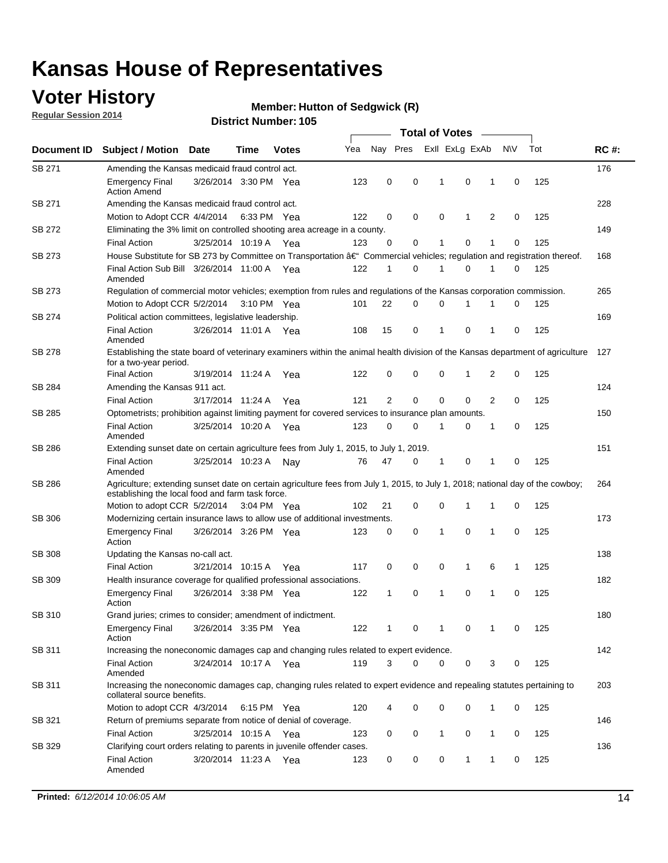### **Voter History**

**Regular Session 2014**

#### **Member: Hutton of Sedgwick (R)**

| Nay Pres<br>Exll ExLg ExAb<br>N\V<br>Yea<br>Document ID<br><b>Subject / Motion Date</b><br><b>Votes</b><br>Time<br>SB 271<br>Amending the Kansas medicaid fraud control act.<br>0<br>0<br>0<br><b>Emergency Final</b><br>3/26/2014 3:30 PM Yea<br>123<br>-1<br>1<br>0<br><b>Action Amend</b><br>SB 271<br>Amending the Kansas medicaid fraud control act.<br>Motion to Adopt CCR 4/4/2014 6:33 PM Yea<br>122<br>0<br>0<br>0<br>1<br>2<br>0<br>SB 272<br>Eliminating the 3% limit on controlled shooting area acreage in a county.<br>3/25/2014 10:19 A Yea<br>123<br>0<br>0<br>1<br>0<br>1<br>0<br><b>Final Action</b><br>House Substitute for SB 273 by Committee on Transportation †Commercial vehicles; regulation and registration thereof.<br>SB 273<br>Final Action Sub Bill 3/26/2014 11:00 A Yea<br>122<br>0<br>1<br>0<br>1<br>1<br>0<br>Amended | Tot<br>125<br>125<br>125<br>125<br>125<br>125 | <b>RC#:</b><br>176<br>228<br>149<br>168<br>265<br>169<br>127 |
|----------------------------------------------------------------------------------------------------------------------------------------------------------------------------------------------------------------------------------------------------------------------------------------------------------------------------------------------------------------------------------------------------------------------------------------------------------------------------------------------------------------------------------------------------------------------------------------------------------------------------------------------------------------------------------------------------------------------------------------------------------------------------------------------------------------------------------------------------------|-----------------------------------------------|--------------------------------------------------------------|
|                                                                                                                                                                                                                                                                                                                                                                                                                                                                                                                                                                                                                                                                                                                                                                                                                                                          |                                               |                                                              |
|                                                                                                                                                                                                                                                                                                                                                                                                                                                                                                                                                                                                                                                                                                                                                                                                                                                          |                                               |                                                              |
|                                                                                                                                                                                                                                                                                                                                                                                                                                                                                                                                                                                                                                                                                                                                                                                                                                                          |                                               |                                                              |
|                                                                                                                                                                                                                                                                                                                                                                                                                                                                                                                                                                                                                                                                                                                                                                                                                                                          |                                               |                                                              |
|                                                                                                                                                                                                                                                                                                                                                                                                                                                                                                                                                                                                                                                                                                                                                                                                                                                          |                                               |                                                              |
|                                                                                                                                                                                                                                                                                                                                                                                                                                                                                                                                                                                                                                                                                                                                                                                                                                                          |                                               |                                                              |
|                                                                                                                                                                                                                                                                                                                                                                                                                                                                                                                                                                                                                                                                                                                                                                                                                                                          |                                               |                                                              |
|                                                                                                                                                                                                                                                                                                                                                                                                                                                                                                                                                                                                                                                                                                                                                                                                                                                          |                                               |                                                              |
|                                                                                                                                                                                                                                                                                                                                                                                                                                                                                                                                                                                                                                                                                                                                                                                                                                                          |                                               |                                                              |
| SB 273<br>Regulation of commercial motor vehicles; exemption from rules and regulations of the Kansas corporation commission.                                                                                                                                                                                                                                                                                                                                                                                                                                                                                                                                                                                                                                                                                                                            |                                               |                                                              |
| 22<br>0<br>0<br>Motion to Adopt CCR 5/2/2014 3:10 PM Yea<br>101<br>1<br>1<br>0                                                                                                                                                                                                                                                                                                                                                                                                                                                                                                                                                                                                                                                                                                                                                                           |                                               |                                                              |
| SB 274<br>Political action committees, legislative leadership.                                                                                                                                                                                                                                                                                                                                                                                                                                                                                                                                                                                                                                                                                                                                                                                           |                                               |                                                              |
| $\mathbf 0$<br>15<br>0<br>$\mathbf{1}$<br>0<br><b>Final Action</b><br>3/26/2014 11:01 A Yea<br>108<br>1<br>Amended                                                                                                                                                                                                                                                                                                                                                                                                                                                                                                                                                                                                                                                                                                                                       |                                               |                                                              |
| <b>SB 278</b><br>Establishing the state board of veterinary examiners within the animal health division of the Kansas department of agriculture<br>for a two-year period.                                                                                                                                                                                                                                                                                                                                                                                                                                                                                                                                                                                                                                                                                |                                               |                                                              |
| <b>Final Action</b><br>3/19/2014 11:24 A<br>122<br>0<br>0<br>0<br>1<br>2<br>0<br>Yea                                                                                                                                                                                                                                                                                                                                                                                                                                                                                                                                                                                                                                                                                                                                                                     | 125                                           |                                                              |
| SB 284<br>Amending the Kansas 911 act.                                                                                                                                                                                                                                                                                                                                                                                                                                                                                                                                                                                                                                                                                                                                                                                                                   |                                               | 124                                                          |
| 2<br>$\mathbf 0$<br>$\mathbf 0$<br>$\mathbf 0$<br>2<br>3/17/2014 11:24 A<br>121<br>0<br><b>Final Action</b><br>Yea                                                                                                                                                                                                                                                                                                                                                                                                                                                                                                                                                                                                                                                                                                                                       | 125                                           |                                                              |
| SB 285<br>Optometrists; prohibition against limiting payment for covered services to insurance plan amounts.                                                                                                                                                                                                                                                                                                                                                                                                                                                                                                                                                                                                                                                                                                                                             |                                               | 150                                                          |
| 3/25/2014 10:20 A Yea<br>0<br>0<br>$\mathbf 0$<br><b>Final Action</b><br>123<br>$\mathbf{1}$<br>0<br>1<br>Amended                                                                                                                                                                                                                                                                                                                                                                                                                                                                                                                                                                                                                                                                                                                                        | 125                                           |                                                              |
| SB 286<br>Extending sunset date on certain agriculture fees from July 1, 2015, to July 1, 2019.                                                                                                                                                                                                                                                                                                                                                                                                                                                                                                                                                                                                                                                                                                                                                          |                                               | 151                                                          |
| 47<br>0<br>0<br><b>Final Action</b><br>3/25/2014 10:23 A<br>76<br>-1<br>1<br>0<br>Nay<br>Amended                                                                                                                                                                                                                                                                                                                                                                                                                                                                                                                                                                                                                                                                                                                                                         | 125                                           |                                                              |
| SB 286<br>Agriculture; extending sunset date on certain agriculture fees from July 1, 2015, to July 1, 2018; national day of the cowboy;<br>establishing the local food and farm task force.                                                                                                                                                                                                                                                                                                                                                                                                                                                                                                                                                                                                                                                             |                                               | 264                                                          |
| Motion to adopt CCR 5/2/2014 3:04 PM Yea<br>102<br>21<br>0<br>0<br>1<br>1<br>0                                                                                                                                                                                                                                                                                                                                                                                                                                                                                                                                                                                                                                                                                                                                                                           | 125                                           |                                                              |
| <b>SB 306</b><br>Modernizing certain insurance laws to allow use of additional investments.                                                                                                                                                                                                                                                                                                                                                                                                                                                                                                                                                                                                                                                                                                                                                              |                                               | 173                                                          |
| 0<br>1<br>0<br>1<br>0<br><b>Emergency Final</b><br>3/26/2014 3:26 PM Yea<br>123<br>0<br>Action                                                                                                                                                                                                                                                                                                                                                                                                                                                                                                                                                                                                                                                                                                                                                           | 125                                           |                                                              |
| <b>SB 308</b><br>Updating the Kansas no-call act.                                                                                                                                                                                                                                                                                                                                                                                                                                                                                                                                                                                                                                                                                                                                                                                                        |                                               | 138                                                          |
| 3/21/2014 10:15 A<br>0<br>0<br>0<br>$\mathbf{1}$<br>6<br><b>Final Action</b><br>117<br>1<br>Yea                                                                                                                                                                                                                                                                                                                                                                                                                                                                                                                                                                                                                                                                                                                                                          | 125                                           |                                                              |
| SB 309<br>Health insurance coverage for qualified professional associations.                                                                                                                                                                                                                                                                                                                                                                                                                                                                                                                                                                                                                                                                                                                                                                             |                                               | 182                                                          |
| 3/26/2014 3:38 PM Yea<br>$\mathbf{1}$<br>0<br>1<br>0<br>1<br>$\mathbf 0$<br><b>Emergency Final</b><br>122<br>Action                                                                                                                                                                                                                                                                                                                                                                                                                                                                                                                                                                                                                                                                                                                                      | 125                                           |                                                              |
| SB 310<br>Grand juries; crimes to consider; amendment of indictment.                                                                                                                                                                                                                                                                                                                                                                                                                                                                                                                                                                                                                                                                                                                                                                                     |                                               | 180                                                          |
| <b>Emergency Final</b><br>3/26/2014 3:35 PM Yea<br>122<br>0<br>0<br>0<br>1<br>1<br>1<br>Action                                                                                                                                                                                                                                                                                                                                                                                                                                                                                                                                                                                                                                                                                                                                                           | 125                                           |                                                              |
| SB 311<br>Increasing the noneconomic damages cap and changing rules related to expert evidence.                                                                                                                                                                                                                                                                                                                                                                                                                                                                                                                                                                                                                                                                                                                                                          |                                               | 142                                                          |
| 3/24/2014 10:17 A Yea<br>119<br>3<br>$\Omega$<br>0<br>0<br>3<br><b>Final Action</b><br>0<br>Amended                                                                                                                                                                                                                                                                                                                                                                                                                                                                                                                                                                                                                                                                                                                                                      | 125                                           |                                                              |
| SB 311<br>Increasing the noneconomic damages cap, changing rules related to expert evidence and repealing statutes pertaining to<br>collateral source benefits.                                                                                                                                                                                                                                                                                                                                                                                                                                                                                                                                                                                                                                                                                          |                                               | 203                                                          |
| 0<br>0<br>Motion to adopt CCR 4/3/2014 6:15 PM Yea<br>120<br>0<br>1<br>0                                                                                                                                                                                                                                                                                                                                                                                                                                                                                                                                                                                                                                                                                                                                                                                 | 125                                           |                                                              |
| SB 321<br>Return of premiums separate from notice of denial of coverage.                                                                                                                                                                                                                                                                                                                                                                                                                                                                                                                                                                                                                                                                                                                                                                                 |                                               | 146                                                          |
| 3/25/2014 10:15 A Yea<br>0<br>$\mathbf{1}$<br>0<br><b>Final Action</b><br>123<br>0<br>1<br>0                                                                                                                                                                                                                                                                                                                                                                                                                                                                                                                                                                                                                                                                                                                                                             | 125                                           |                                                              |
| SB 329<br>Clarifying court orders relating to parents in juvenile offender cases.<br>3/20/2014 11:23 A Yea<br>0<br><b>Final Action</b><br>123<br>0<br>0<br>1<br>1<br>0<br>Amended                                                                                                                                                                                                                                                                                                                                                                                                                                                                                                                                                                                                                                                                        | 125                                           | 136                                                          |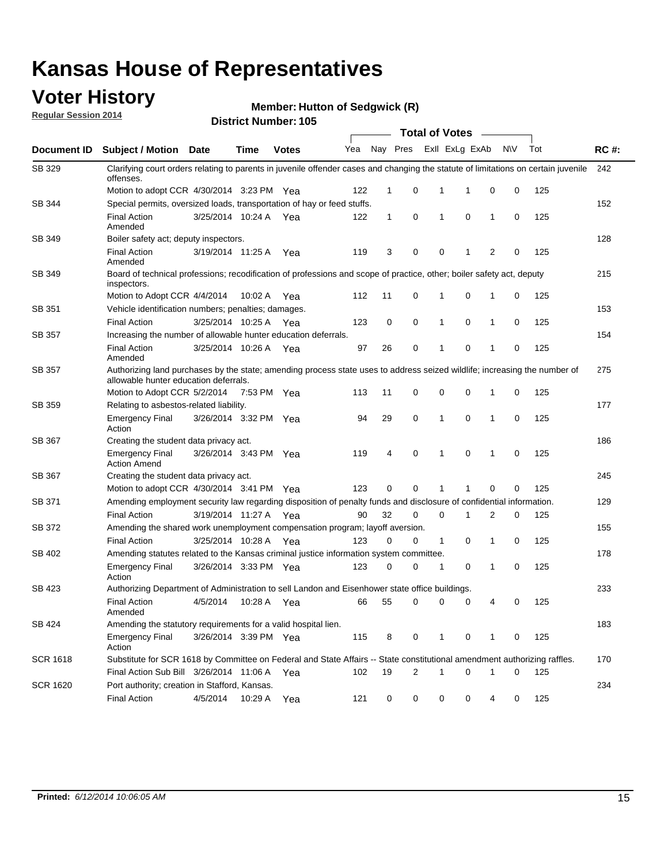### **Voter History**

**Regular Session 2014**

**Member: Hutton of Sedgwick (R)** 

|                 |                                                                                                                                                                    |                       |             | <b>Total of Votes</b> |     |              |          |  |              |                  |                     |     |             |
|-----------------|--------------------------------------------------------------------------------------------------------------------------------------------------------------------|-----------------------|-------------|-----------------------|-----|--------------|----------|--|--------------|------------------|---------------------|-----|-------------|
| Document ID     | Subject / Motion Date                                                                                                                                              |                       | <b>Time</b> | <b>Votes</b>          | Yea |              | Nay Pres |  |              | Exll ExLg ExAb   | <b>NV</b>           | Tot | <b>RC#:</b> |
| SB 329          | Clarifying court orders relating to parents in juvenile offender cases and changing the statute of limitations on certain juvenile<br>offenses.                    |                       |             |                       |     |              |          |  |              |                  |                     |     | 242         |
|                 | Motion to adopt CCR 4/30/2014 3:23 PM Yea                                                                                                                          |                       |             |                       | 122 | $\mathbf 1$  | 0        |  | 1            | -1               | 0<br>0              | 125 |             |
| SB 344          | Special permits, oversized loads, transportation of hay or feed stuffs.                                                                                            |                       |             |                       |     |              |          |  |              |                  |                     |     | 152         |
|                 | <b>Final Action</b><br>Amended                                                                                                                                     | 3/25/2014 10:24 A     |             | Yea                   | 122 | $\mathbf{1}$ | 0        |  | 1            | 0<br>1           | 0                   | 125 |             |
| SB 349          | Boiler safety act; deputy inspectors.                                                                                                                              |                       |             |                       |     |              |          |  |              |                  |                     |     | 128         |
|                 | <b>Final Action</b><br>Amended                                                                                                                                     | 3/19/2014 11:25 A     |             | Yea                   | 119 | 3            | 0        |  | 0            | 1                | $\overline{2}$<br>0 | 125 |             |
| SB 349          | Board of technical professions; recodification of professions and scope of practice, other; boiler safety act, deputy<br>inspectors.                               |                       |             |                       |     |              |          |  |              |                  |                     |     | 215         |
|                 | Motion to Adopt CCR 4/4/2014                                                                                                                                       |                       | 10:02 A     | Yea                   | 112 | 11           | 0        |  | 1            | 0<br>1           | 0                   | 125 |             |
| SB 351          | Vehicle identification numbers; penalties; damages.                                                                                                                |                       |             |                       |     |              |          |  |              |                  |                     |     | 153         |
|                 | <b>Final Action</b>                                                                                                                                                | 3/25/2014 10:25 A     |             | Yea                   | 123 | 0            | 0        |  | 1            | 0<br>1           | 0                   | 125 |             |
| <b>SB 357</b>   | Increasing the number of allowable hunter education deferrals.                                                                                                     |                       |             |                       |     |              |          |  |              |                  |                     |     | 154         |
|                 | <b>Final Action</b><br>Amended                                                                                                                                     | 3/25/2014 10:26 A     |             | Yea                   | 97  | 26           | 0        |  | 1            | 0<br>1           | 0                   | 125 |             |
| <b>SB 357</b>   | Authorizing land purchases by the state; amending process state uses to address seized wildlife; increasing the number of<br>allowable hunter education deferrals. |                       |             |                       |     |              |          |  |              |                  |                     |     | 275         |
|                 | Motion to Adopt CCR 5/2/2014                                                                                                                                       |                       | 7:53 PM Yea |                       | 113 | 11           | 0        |  | 0            | $\mathbf 0$<br>1 | 0                   | 125 |             |
| SB 359          | Relating to asbestos-related liability.                                                                                                                            |                       |             |                       |     |              |          |  |              |                  |                     |     | 177         |
|                 | <b>Emergency Final</b><br>Action                                                                                                                                   | 3/26/2014 3:32 PM Yea |             |                       | 94  | 29           | 0        |  | 1            | $\mathbf 0$      | $\mathbf{1}$<br>0   | 125 |             |
| SB 367          | Creating the student data privacy act.                                                                                                                             |                       |             |                       |     |              |          |  |              |                  |                     |     | 186         |
|                 | <b>Emergency Final</b><br><b>Action Amend</b>                                                                                                                      | 3/26/2014 3:43 PM Yea |             |                       | 119 | 4            | 0        |  | 1            | 0<br>1           | 0                   | 125 |             |
| SB 367          | Creating the student data privacy act.                                                                                                                             |                       |             |                       |     |              |          |  |              |                  |                     |     | 245         |
|                 | Motion to adopt CCR 4/30/2014 3:41 PM Yea                                                                                                                          |                       |             |                       | 123 | 0            | $\Omega$ |  |              | 1                | 0<br>0              | 125 |             |
| SB 371          | Amending employment security law regarding disposition of penalty funds and disclosure of confidential information.                                                |                       |             |                       |     |              |          |  |              |                  |                     |     | 129         |
|                 | <b>Final Action</b>                                                                                                                                                | 3/19/2014 11:27 A     |             | Yea                   | 90  | 32           | 0        |  | $\mathbf 0$  | 1                | 2<br>0              | 125 |             |
| SB 372          | Amending the shared work unemployment compensation program; layoff aversion.                                                                                       |                       |             |                       |     |              |          |  |              |                  |                     |     | 155         |
|                 | <b>Final Action</b>                                                                                                                                                | 3/25/2014 10:28 A     |             | Yea                   | 123 | 0            | 0        |  | $\mathbf{1}$ | 0                | 1<br>0              | 125 |             |
| SB 402          | Amending statutes related to the Kansas criminal justice information system committee.                                                                             |                       |             |                       |     |              |          |  |              |                  |                     |     | 178         |
|                 | <b>Emergency Final</b><br>Action                                                                                                                                   | 3/26/2014 3:33 PM Yea |             |                       | 123 | 0            | 0        |  | 1            | 0                | 1<br>0              | 125 |             |
| SB 423          | Authorizing Department of Administration to sell Landon and Eisenhower state office buildings.                                                                     |                       |             |                       |     |              |          |  |              |                  |                     |     | 233         |
|                 | <b>Final Action</b><br>Amended                                                                                                                                     | 4/5/2014              | 10:28 A Yea |                       | 66  | 55           | 0        |  | 0            | 0                | 0<br>4              | 125 |             |
| SB 424          | Amending the statutory requirements for a valid hospital lien.                                                                                                     |                       |             |                       |     |              |          |  |              |                  |                     |     | 183         |
|                 | <b>Emergency Final</b><br>Action                                                                                                                                   | 3/26/2014 3:39 PM Yea |             |                       | 115 | 8            | 0        |  | 1            | 0                | 0<br>1              | 125 |             |
| <b>SCR 1618</b> | Substitute for SCR 1618 by Committee on Federal and State Affairs -- State constitutional amendment authorizing raffles.                                           |                       |             |                       |     |              |          |  |              |                  |                     |     | 170         |
|                 | Final Action Sub Bill 3/26/2014 11:06 A Yea                                                                                                                        |                       |             |                       | 102 | 19           | 2        |  | 1            | 0<br>1           | 0                   | 125 |             |
| <b>SCR 1620</b> | Port authority; creation in Stafford, Kansas.                                                                                                                      |                       |             |                       |     |              |          |  |              |                  |                     |     | 234         |
|                 | <b>Final Action</b>                                                                                                                                                | 4/5/2014              | 10:29 A Yea |                       | 121 | 0            | 0        |  | 0            | 0                | 4<br>0              | 125 |             |